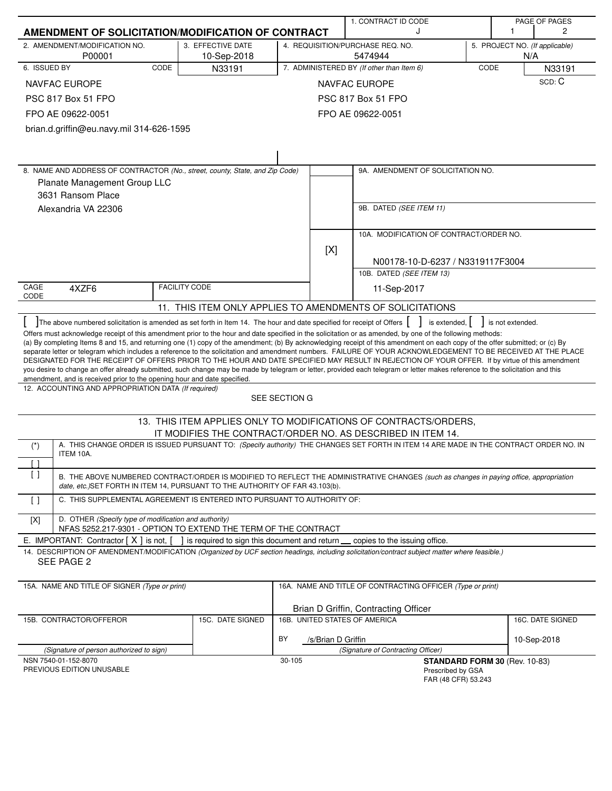|                   | AMENDMENT OF SOLICITATION/MODIFICATION OF CONTRACT                                                                              |                                  |                               | 1. CONTRACT ID CODE<br>J                                                                                                                                                                                                                                                                                                                                                                                                                                                                                                                                                                                                                                                                                                                                                                                                                        |      |                  | PAGE OF PAGES<br>2                    |
|-------------------|---------------------------------------------------------------------------------------------------------------------------------|----------------------------------|-------------------------------|-------------------------------------------------------------------------------------------------------------------------------------------------------------------------------------------------------------------------------------------------------------------------------------------------------------------------------------------------------------------------------------------------------------------------------------------------------------------------------------------------------------------------------------------------------------------------------------------------------------------------------------------------------------------------------------------------------------------------------------------------------------------------------------------------------------------------------------------------|------|------------------|---------------------------------------|
|                   | 2. AMENDMENT/MODIFICATION NO.<br>P00001                                                                                         | 3. EFFECTIVE DATE<br>10-Sep-2018 |                               | 4. REQUISITION/PURCHASE REQ. NO.<br>5474944                                                                                                                                                                                                                                                                                                                                                                                                                                                                                                                                                                                                                                                                                                                                                                                                     |      |                  | 5. PROJECT NO. (If applicable)<br>N/A |
| 6. ISSUED BY      | CODE                                                                                                                            | N33191                           |                               | 7. ADMINISTERED BY (If other than Item 6)                                                                                                                                                                                                                                                                                                                                                                                                                                                                                                                                                                                                                                                                                                                                                                                                       | CODE |                  | N33191                                |
|                   | <b>NAVFAC EUROPE</b>                                                                                                            |                                  |                               | <b>NAVFAC EUROPE</b>                                                                                                                                                                                                                                                                                                                                                                                                                                                                                                                                                                                                                                                                                                                                                                                                                            |      |                  | SCD: C                                |
|                   | <b>PSC 817 Box 51 FPO</b>                                                                                                       |                                  |                               | <b>PSC 817 Box 51 FPO</b>                                                                                                                                                                                                                                                                                                                                                                                                                                                                                                                                                                                                                                                                                                                                                                                                                       |      |                  |                                       |
|                   | FPO AE 09622-0051                                                                                                               |                                  |                               | FPO AE 09622-0051                                                                                                                                                                                                                                                                                                                                                                                                                                                                                                                                                                                                                                                                                                                                                                                                                               |      |                  |                                       |
|                   | brian.d.griffin@eu.navy.mil 314-626-1595                                                                                        |                                  |                               |                                                                                                                                                                                                                                                                                                                                                                                                                                                                                                                                                                                                                                                                                                                                                                                                                                                 |      |                  |                                       |
|                   |                                                                                                                                 |                                  |                               |                                                                                                                                                                                                                                                                                                                                                                                                                                                                                                                                                                                                                                                                                                                                                                                                                                                 |      |                  |                                       |
|                   |                                                                                                                                 |                                  |                               |                                                                                                                                                                                                                                                                                                                                                                                                                                                                                                                                                                                                                                                                                                                                                                                                                                                 |      |                  |                                       |
|                   | 8. NAME AND ADDRESS OF CONTRACTOR (No., street, county, State, and Zip Code)<br>Planate Management Group LLC                    |                                  |                               | 9A. AMENDMENT OF SOLICITATION NO.                                                                                                                                                                                                                                                                                                                                                                                                                                                                                                                                                                                                                                                                                                                                                                                                               |      |                  |                                       |
|                   | 3631 Ransom Place                                                                                                               |                                  |                               |                                                                                                                                                                                                                                                                                                                                                                                                                                                                                                                                                                                                                                                                                                                                                                                                                                                 |      |                  |                                       |
|                   | Alexandria VA 22306                                                                                                             |                                  |                               | 9B. DATED (SEE ITEM 11)                                                                                                                                                                                                                                                                                                                                                                                                                                                                                                                                                                                                                                                                                                                                                                                                                         |      |                  |                                       |
|                   |                                                                                                                                 |                                  |                               |                                                                                                                                                                                                                                                                                                                                                                                                                                                                                                                                                                                                                                                                                                                                                                                                                                                 |      |                  |                                       |
|                   |                                                                                                                                 |                                  |                               | 10A. MODIFICATION OF CONTRACT/ORDER NO.                                                                                                                                                                                                                                                                                                                                                                                                                                                                                                                                                                                                                                                                                                                                                                                                         |      |                  |                                       |
|                   |                                                                                                                                 |                                  | [X]                           |                                                                                                                                                                                                                                                                                                                                                                                                                                                                                                                                                                                                                                                                                                                                                                                                                                                 |      |                  |                                       |
|                   |                                                                                                                                 |                                  |                               | N00178-10-D-6237 / N3319117F3004                                                                                                                                                                                                                                                                                                                                                                                                                                                                                                                                                                                                                                                                                                                                                                                                                |      |                  |                                       |
|                   |                                                                                                                                 |                                  |                               | 10B. DATED (SEE ITEM 13)                                                                                                                                                                                                                                                                                                                                                                                                                                                                                                                                                                                                                                                                                                                                                                                                                        |      |                  |                                       |
| CAGE<br>CODE      | 4XZF6                                                                                                                           | <b>FACILITY CODE</b>             |                               | 11-Sep-2017                                                                                                                                                                                                                                                                                                                                                                                                                                                                                                                                                                                                                                                                                                                                                                                                                                     |      |                  |                                       |
|                   |                                                                                                                                 |                                  |                               | 11. THIS ITEM ONLY APPLIES TO AMENDMENTS OF SOLICITATIONS                                                                                                                                                                                                                                                                                                                                                                                                                                                                                                                                                                                                                                                                                                                                                                                       |      |                  |                                       |
|                   | The above numbered solicitation is amended as set forth in Item 14. The hour and date specified for receipt of Offers           |                                  |                               | is extended, $\vert$                                                                                                                                                                                                                                                                                                                                                                                                                                                                                                                                                                                                                                                                                                                                                                                                                            |      | is not extended. |                                       |
|                   | amendment, and is received prior to the opening hour and date specified.                                                        |                                  |                               | Offers must acknowledge receipt of this amendment prior to the hour and date specified in the solicitation or as amended, by one of the following methods:<br>(a) By completing Items 8 and 15, and returning one (1) copy of the amendment; (b) By acknowledging receipt of this amendment on each copy of the offer submitted; or (c) By<br>separate letter or telegram which includes a reference to the solicitation and amendment numbers. FAILURE OF YOUR ACKNOWLEDGEMENT TO BE RECEIVED AT THE PLACE<br>DESIGNATED FOR THE RECEIPT OF OFFERS PRIOR TO THE HOUR AND DATE SPECIFIED MAY RESULT IN REJECTION OF YOUR OFFER. If by virtue of this amendment<br>you desire to change an offer already submitted, such change may be made by telegram or letter, provided each telegram or letter makes reference to the solicitation and this |      |                  |                                       |
|                   | 12. ACCOUNTING AND APPROPRIATION DATA (If required)                                                                             |                                  |                               |                                                                                                                                                                                                                                                                                                                                                                                                                                                                                                                                                                                                                                                                                                                                                                                                                                                 |      |                  |                                       |
|                   |                                                                                                                                 |                                  | SEE SECTION G                 |                                                                                                                                                                                                                                                                                                                                                                                                                                                                                                                                                                                                                                                                                                                                                                                                                                                 |      |                  |                                       |
|                   |                                                                                                                                 |                                  |                               | 13. THIS ITEM APPLIES ONLY TO MODIFICATIONS OF CONTRACTS/ORDERS,                                                                                                                                                                                                                                                                                                                                                                                                                                                                                                                                                                                                                                                                                                                                                                                |      |                  |                                       |
|                   |                                                                                                                                 |                                  |                               | IT MODIFIES THE CONTRACT/ORDER NO. AS DESCRIBED IN ITEM 14.                                                                                                                                                                                                                                                                                                                                                                                                                                                                                                                                                                                                                                                                                                                                                                                     |      |                  |                                       |
| $(*)$             | ITEM 10A.                                                                                                                       |                                  |                               | A. THIS CHANGE ORDER IS ISSUED PURSUANT TO: (Specify authority) THE CHANGES SET FORTH IN ITEM 14 ARE MADE IN THE CONTRACT ORDER NO. IN                                                                                                                                                                                                                                                                                                                                                                                                                                                                                                                                                                                                                                                                                                          |      |                  |                                       |
| $\lceil$          |                                                                                                                                 |                                  |                               |                                                                                                                                                                                                                                                                                                                                                                                                                                                                                                                                                                                                                                                                                                                                                                                                                                                 |      |                  |                                       |
|                   | date, etc.) SET FORTH IN ITEM 14, PURSUANT TO THE AUTHORITY OF FAR 43.103(b).                                                   |                                  |                               | B. THE ABOVE NUMBERED CONTRACT/ORDER IS MODIFIED TO REFLECT THE ADMINISTRATIVE CHANGES (such as changes in paying office, appropriation                                                                                                                                                                                                                                                                                                                                                                                                                                                                                                                                                                                                                                                                                                         |      |                  |                                       |
| $\lceil$ $\rceil$ | C. THIS SUPPLEMENTAL AGREEMENT IS ENTERED INTO PURSUANT TO AUTHORITY OF:                                                        |                                  |                               |                                                                                                                                                                                                                                                                                                                                                                                                                                                                                                                                                                                                                                                                                                                                                                                                                                                 |      |                  |                                       |
| [X]               | D. OTHER (Specify type of modification and authority)<br>NFAS 5252.217-9301 - OPTION TO EXTEND THE TERM OF THE CONTRACT         |                                  |                               |                                                                                                                                                                                                                                                                                                                                                                                                                                                                                                                                                                                                                                                                                                                                                                                                                                                 |      |                  |                                       |
|                   | E. IMPORTANT: Contractor $[X]$ is not, $[ \ ]$ is required to sign this document and return $\ ]$ copies to the issuing office. |                                  |                               |                                                                                                                                                                                                                                                                                                                                                                                                                                                                                                                                                                                                                                                                                                                                                                                                                                                 |      |                  |                                       |
|                   |                                                                                                                                 |                                  |                               | 14. DESCRIPTION OF AMENDMENT/MODIFICATION (Organized by UCF section headings, including solicitation/contract subject matter where feasible.)                                                                                                                                                                                                                                                                                                                                                                                                                                                                                                                                                                                                                                                                                                   |      |                  |                                       |
|                   | SEE PAGE 2                                                                                                                      |                                  |                               |                                                                                                                                                                                                                                                                                                                                                                                                                                                                                                                                                                                                                                                                                                                                                                                                                                                 |      |                  |                                       |
|                   | 15A. NAME AND TITLE OF SIGNER (Type or print)                                                                                   |                                  |                               | 16A. NAME AND TITLE OF CONTRACTING OFFICER (Type or print)                                                                                                                                                                                                                                                                                                                                                                                                                                                                                                                                                                                                                                                                                                                                                                                      |      |                  |                                       |
|                   |                                                                                                                                 |                                  |                               | Brian D Griffin, Contracting Officer                                                                                                                                                                                                                                                                                                                                                                                                                                                                                                                                                                                                                                                                                                                                                                                                            |      |                  |                                       |
|                   | 15B. CONTRACTOR/OFFEROR                                                                                                         | 15C. DATE SIGNED                 | 16B. UNITED STATES OF AMERICA |                                                                                                                                                                                                                                                                                                                                                                                                                                                                                                                                                                                                                                                                                                                                                                                                                                                 |      |                  | 16C. DATE SIGNED                      |
|                   |                                                                                                                                 |                                  | BY<br>/s/Brian D Griffin      |                                                                                                                                                                                                                                                                                                                                                                                                                                                                                                                                                                                                                                                                                                                                                                                                                                                 |      |                  | 10-Sep-2018                           |
|                   | (Signature of person authorized to sign)                                                                                        |                                  |                               | (Signature of Contracting Officer)                                                                                                                                                                                                                                                                                                                                                                                                                                                                                                                                                                                                                                                                                                                                                                                                              |      |                  |                                       |
|                   | NSN 7540-01-152-8070<br>PREVIOUS EDITION UNUSABLE                                                                               |                                  | 30-105                        | STANDARD FORM 30 (Rev. 10-83)<br>Prescribed by GSA                                                                                                                                                                                                                                                                                                                                                                                                                                                                                                                                                                                                                                                                                                                                                                                              |      |                  |                                       |
|                   |                                                                                                                                 |                                  |                               | FAR (48 CFR) 53.243                                                                                                                                                                                                                                                                                                                                                                                                                                                                                                                                                                                                                                                                                                                                                                                                                             |      |                  |                                       |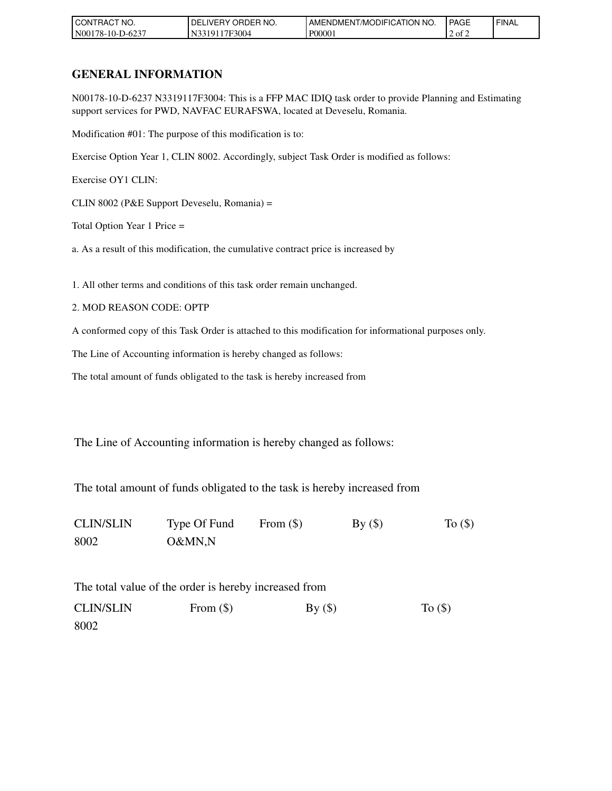| `NO.<br><b>CONTRACT</b>  | 'NO.<br><b>ORDER</b><br><b>IDEL.</b><br>IVERY | <b>FICATION</b><br>' NO.<br>. /MODIFIC<br>' AMENDMENT. | <b>PAGE</b> | ' FINAL |
|--------------------------|-----------------------------------------------|--------------------------------------------------------|-------------|---------|
| $-D-6237$<br>N00178-10-L | <sup>1</sup> 7F3004<br>191<br>. N.            | P00001                                                 | 2 of 2      |         |

# **GENERAL INFORMATION**

N00178-10-D-6237 N3319117F3004: This is a FFP MAC IDIQ task order to provide Planning and Estimating support services for PWD, NAVFAC EURAFSWA, located at Deveselu, Romania.

Modification #01: The purpose of this modification is to:

Exercise Option Year 1, CLIN 8002. Accordingly, subject Task Order is modified as follows:

Exercise OY1 CLIN:

CLIN 8002 (P&E Support Deveselu, Romania) =

Total Option Year 1 Price =

a. As a result of this modification, the cumulative contract price is increased by

1. All other terms and conditions of this task order remain unchanged.

2. MOD REASON CODE: OPTP

A conformed copy of this Task Order is attached to this modification for informational purposes only.

The Line of Accounting information is hereby changed as follows:

The total amount of funds obligated to the task is hereby increased from

The Line of Accounting information is hereby changed as follows:

The total amount of funds obligated to the task is hereby increased from

CLIN/SLIN Type Of Fund From  $(\$)$  By  $(\$)$  To  $(\$)$ 8002 O&MN,N

The total value of the order is hereby increased from CLIN/SLIN From  $(\$)$  By  $(\$)$  To  $(\$)$ 8002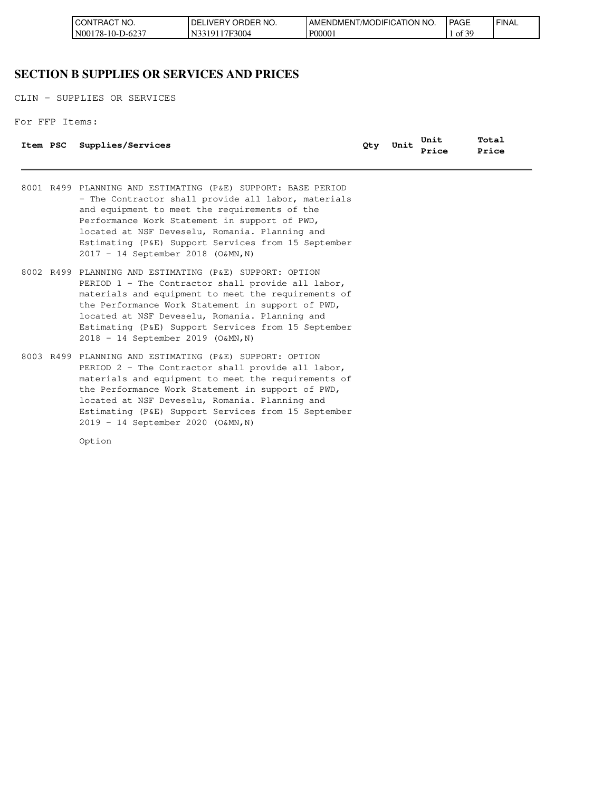| CT NO.<br>I CONT<br>TRACT | ' ORDER NO.<br>' DE.<br><b>IVERY</b> | AMENDMENT/MODIFICATION<br>I NO | <b>PAGE</b>                             | ' FINAL |
|---------------------------|--------------------------------------|--------------------------------|-----------------------------------------|---------|
| IN00178-10-D-6237         | 17F3004<br>101<br>N                  | P00001                         | ،f 20<br>ΟĪ<br>$\overline{\phantom{a}}$ |         |

### **SECTION B SUPPLIES OR SERVICES AND PRICES**

CLIN - SUPPLIES OR SERVICES

For FFP Items:

|  | Item PSC Supplies/Services | Qty | Unit                           | Total |
|--|----------------------------|-----|--------------------------------|-------|
|  |                            |     | Unit Unit Tota.<br>Price Price |       |

8001 R499 PLANNING AND ESTIMATING (P&E) SUPPORT: BASE PERIOD - The Contractor shall provide all labor, materials and equipment to meet the requirements of the Performance Work Statement in support of PWD, located at NSF Deveselu, Romania. Planning and Estimating (P&E) Support Services from 15 September 2017 – 14 September 2018 (O&MN,N)

- 8002 R499 PLANNING AND ESTIMATING (P&E) SUPPORT: OPTION PERIOD 1 - The Contractor shall provide all labor, materials and equipment to meet the requirements of the Performance Work Statement in support of PWD, located at NSF Deveselu, Romania. Planning and Estimating (P&E) Support Services from 15 September 2018 – 14 September 2019 (O&MN,N)
- 8003 R499 PLANNING AND ESTIMATING (P&E) SUPPORT: OPTION PERIOD 2 - The Contractor shall provide all labor, materials and equipment to meet the requirements of the Performance Work Statement in support of PWD, located at NSF Deveselu, Romania. Planning and Estimating (P&E) Support Services from 15 September 2019 – 14 September 2020 (O&MN,N)

Option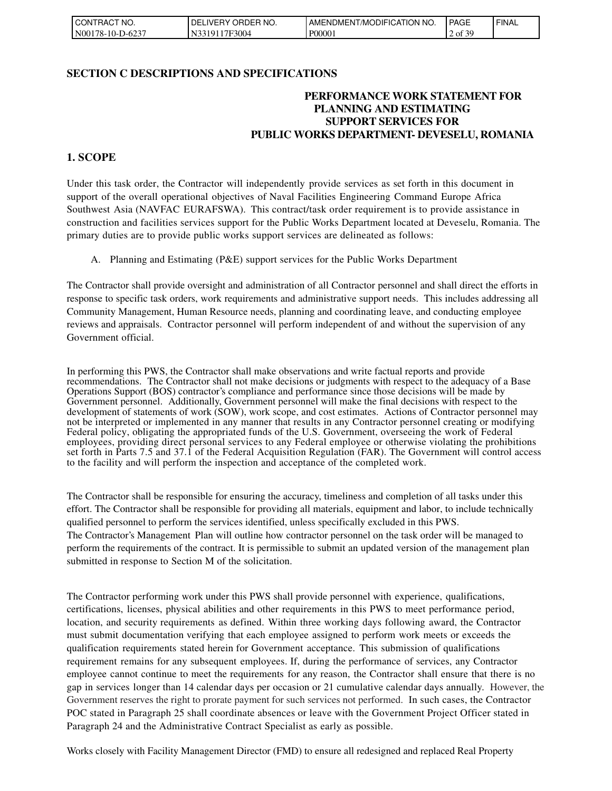| CONTRACT NO.     | ORDER NO.<br>' DE.<br>r IVERY ہے۔ | I AMENDMENT/MODIFICATION NO. | PAGE                | <sup>I</sup> FINAL |
|------------------|-----------------------------------|------------------------------|---------------------|--------------------|
| N00178-10-D-6237 | 17F3004<br>N33<br>:101            | P00001                       | F 3C<br>' of<br>J., |                    |

#### **SECTION C DESCRIPTIONS AND SPECIFICATIONS**

### **PERFORMANCE WORK STATEMENT FOR PLANNING AND ESTIMATING SUPPORT SERVICES FOR PUBLIC WORKS DEPARTMENT- DEVESELU, ROMANIA**

### **1. SCOPE**

Under this task order, the Contractor will independently provide services as set forth in this document in support of the overall operational objectives of Naval Facilities Engineering Command Europe Africa Southwest Asia (NAVFAC EURAFSWA). This contract/task order requirement is to provide assistance in construction and facilities services support for the Public Works Department located at Deveselu, Romania. The primary duties are to provide public works support services are delineated as follows:

A. Planning and Estimating (P&E) support services for the Public Works Department

The Contractor shall provide oversight and administration of all Contractor personnel and shall direct the efforts in response to specific task orders, work requirements and administrative support needs. This includes addressing all Community Management, Human Resource needs, planning and coordinating leave, and conducting employee reviews and appraisals. Contractor personnel will perform independent of and without the supervision of any Government official.

In performing this PWS, the Contractor shall make observations and write factual reports and provide recommendations. The Contractor shall not make decisions or judgments with respect to the adequacy of a Base Operations Support (BOS) contractor's compliance and performance since those decisions will be made by Government personnel. Additionally, Government personnel will make the final decisions with respect to the development of statements of work (SOW), work scope, and cost estimates. Actions of Contractor personnel may not be interpreted or implemented in any manner that results in any Contractor personnel creating or modifying Federal policy, obligating the appropriated funds of the U.S. Government, overseeing the work of Federal employees, providing direct personal services to any Federal employee or otherwise violating the prohibitions set forth in Parts 7.5 and 37.1 of the Federal Acquisition Regulation (FAR). The Government will control access to the facility and will perform the inspection and acceptance of the completed work.

The Contractor shall be responsible for ensuring the accuracy, timeliness and completion of all tasks under this effort. The Contractor shall be responsible for providing all materials, equipment and labor, to include technically qualified personnel to perform the services identified, unless specifically excluded in this PWS. The Contractor's Management Plan will outline how contractor personnel on the task order will be managed to perform the requirements of the contract. It is permissible to submit an updated version of the management plan submitted in response to Section M of the solicitation.

The Contractor performing work under this PWS shall provide personnel with experience, qualifications, certifications, licenses, physical abilities and other requirements in this PWS to meet performance period, location, and security requirements as defined. Within three working days following award, the Contractor must submit documentation verifying that each employee assigned to perform work meets or exceeds the qualification requirements stated herein for Government acceptance. This submission of qualifications requirement remains for any subsequent employees. If, during the performance of services, any Contractor employee cannot continue to meet the requirements for any reason, the Contractor shall ensure that there is no gap in services longer than 14 calendar days per occasion or 21 cumulative calendar days annually. However, the Government reserves the right to prorate payment for such services not performed. In such cases, the Contractor POC stated in Paragraph 25 shall coordinate absences or leave with the Government Project Officer stated in Paragraph 24 and the Administrative Contract Specialist as early as possible.

Works closely with Facility Management Director (FMD) to ensure all redesigned and replaced Real Property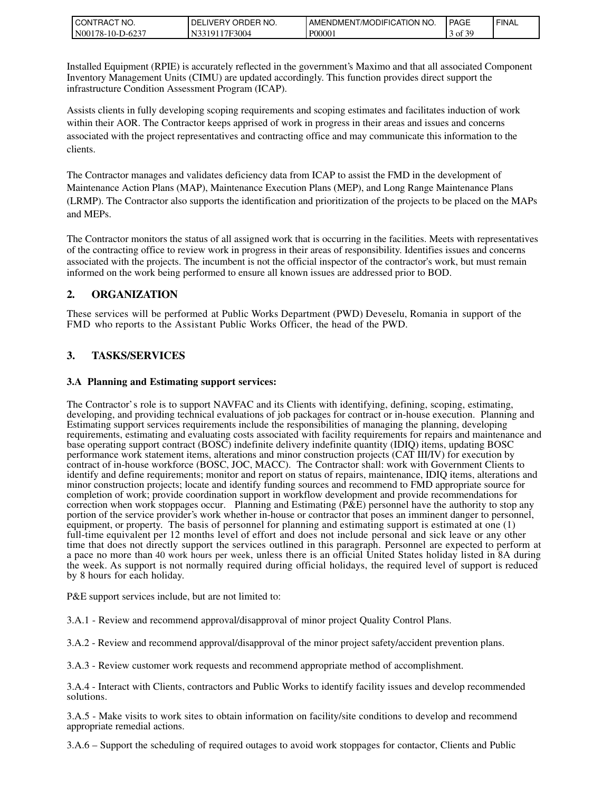| FRACT NO.<br><b>I</b> CONT | ORDER NO.<br>DE<br>.IVERY | NO<br>AMENDMENT/MODIFICATION | <b>PAGE</b>                         | <b>I FINAL</b> |
|----------------------------|---------------------------|------------------------------|-------------------------------------|----------------|
| N00178-10-D-6237           | 7F3004<br>310             | P00001                       | .f 20<br>$\rightarrow$ of $\circ$ . |                |

Installed Equipment (RPIE) is accurately reflected in the government's Maximo and that all associated Component Inventory Management Units (CIMU) are updated accordingly. This function provides direct support the infrastructure Condition Assessment Program (ICAP).

Assists clients in fully developing scoping requirements and scoping estimates and facilitates induction of work within their AOR. The Contractor keeps apprised of work in progress in their areas and issues and concerns associated with the project representatives and contracting office and may communicate this information to the clients.

The Contractor manages and validates deficiency data from ICAP to assist the FMD in the development of Maintenance Action Plans (MAP), Maintenance Execution Plans (MEP), and Long Range Maintenance Plans (LRMP). The Contractor also supports the identification and prioritization of the projects to be placed on the MAPs and MEPs.

The Contractor monitors the status of all assigned work that is occurring in the facilities. Meets with representatives of the contracting office to review work in progress in their areas of responsibility. Identifies issues and concerns associated with the projects. The incumbent is not the official inspector of the contractor's work, but must remain informed on the work being performed to ensure all known issues are addressed prior to BOD.

### **2. ORGANIZATION**

These services will be performed at Public Works Department (PWD) Deveselu, Romania in support of the FMD who reports to the Assistant Public Works Officer, the head of the PWD.

### **3. TASKS/SERVICES**

#### **3.A Planning and Estimating support services:**

The Contractor's role is to support NAVFAC and its Clients with identifying, defining, scoping, estimating, developing, and providing technical evaluations of job packages for contract or in-house execution. Planning and Estimating support services requirements include the responsibilities of managing the planning, developing requirements, estimating and evaluating costs associated with facility requirements for repairs and maintenance and base operating support contract (BOSC) indefinite delivery indefinite quantity (IDIQ) items, updating BOSC performance work statement items, alterations and minor construction projects (CAT III/IV) for execution by contract of in-house workforce (BOSC, JOC, MACC). The Contractor shall: work with Government Clients to identify and define requirements; monitor and report on status of repairs, maintenance, IDIQ items, alterations and minor construction projects; locate and identify funding sources and recommend to FMD appropriate source for completion of work; provide coordination support in workflow development and provide recommendations for correction when work stoppages occur. Planning and Estimating ( $P\&E$ ) personnel have the authority to stop any portion of the service provider's work whether in-house or contractor that poses an imminent danger to personnel, equipment, or property. The basis of personnel for planning and estimating support is estimated at one (1) full-time equivalent per 12 months level of effort and does not include personal and sick leave or any other time that does not directly support the services outlined in this paragraph. Personnel are expected to perform at a pace no more than 40 work hours per week, unless there is an official United States holiday listed in 8A during the week. As support is not normally required during official holidays, the required level of support is reduced by 8 hours for each holiday.

P&E support services include, but are not limited to:

3.A.1 - Review and recommend approval/disapproval of minor project Quality Control Plans.

3.A.2 - Review and recommend approval/disapproval of the minor project safety/accident prevention plans.

3.A.3 - Review customer work requests and recommend appropriate method of accomplishment.

3.A.4 - Interact with Clients, contractors and Public Works to identify facility issues and develop recommended solutions.

3.A.5 - Make visits to work sites to obtain information on facility/site conditions to develop and recommend appropriate remedial actions.

3.A.6 – Support the scheduling of required outages to avoid work stoppages for contactor, Clients and Public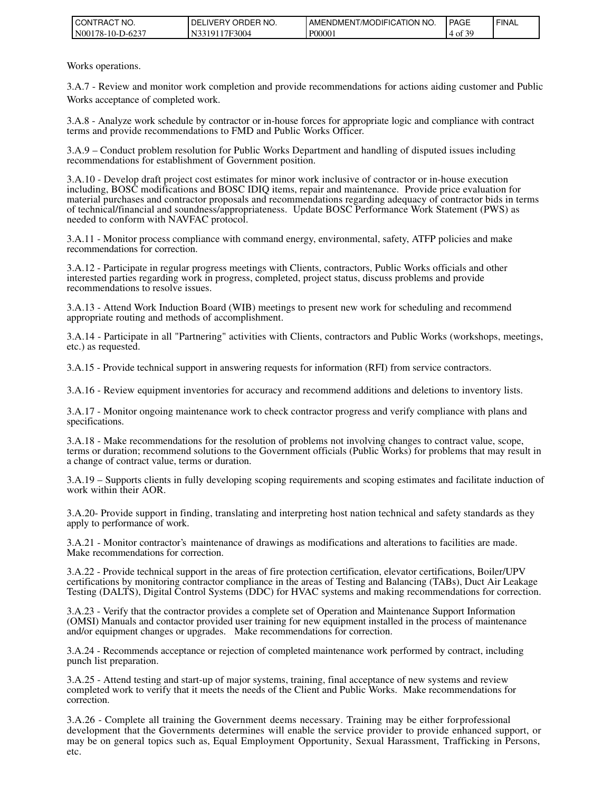| TRACT NO.<br>I CONT | ' ORDER NO.<br><b>IVERY</b><br>DE | AMENDMENT/MODIFICATION NO. | <b>PAGE</b> | ' FINAL |
|---------------------|-----------------------------------|----------------------------|-------------|---------|
| N00178-10-D-6237    | 17F3004<br>$310^{\circ}$          | P00001                     | .f 20<br>⊙r |         |

Works operations.

3.A.7 - Review and monitor work completion and provide recommendations for actions aiding customer and Public Works acceptance of completed work.

3.A.8 - Analyze work schedule by contractor or in-house forces for appropriate logic and compliance with contract terms and provide recommendations to FMD and Public Works Officer.

3.A.9 – Conduct problem resolution for Public Works Department and handling of disputed issues including recommendations for establishment of Government position.

3.A.10 - Develop draft project cost estimates for minor work inclusive of contractor or in-house execution including, BOSC modifications and BOSC IDIQ items, repair and maintenance. Provide price evaluation for material purchases and contractor proposals and recommendations regarding adequacy of contractor bids in terms of technical/financial and soundness/appropriateness. Update BOSC Performance Work Statement (PWS) as needed to conform with NAVFAC protocol.

3.A.11 - Monitor process compliance with command energy, environmental, safety, ATFP policies and make recommendations for correction.

3.A.12 - Participate in regular progress meetings with Clients, contractors, Public Works officials and other interested parties regarding work in progress, completed, project status, discuss problems and provide recommendations to resolve issues.

3.A.13 - Attend Work Induction Board (WIB) meetings to present new work for scheduling and recommend appropriate routing and methods of accomplishment.

3.A.14 - Participate in all "Partnering" activities with Clients, contractors and Public Works (workshops, meetings, etc.) as requested.

3.A.15 - Provide technical support in answering requests for information (RFI) from service contractors.

3.A.16 - Review equipment inventories for accuracy and recommend additions and deletions to inventory lists.

3.A.17 - Monitor ongoing maintenance work to check contractor progress and verify compliance with plans and specifications.

3.A.18 - Make recommendations for the resolution of problems not involving changes to contract value, scope, terms or duration; recommend solutions to the Government officials (Public Works) for problems that may result in a change of contract value, terms or duration.

3.A.19 – Supports clients in fully developing scoping requirements and scoping estimates and facilitate induction of work within their AOR.

3.A.20- Provide support in finding, translating and interpreting host nation technical and safety standards as they apply to performance of work.

3.A.21 - Monitor contractor's maintenance of drawings as modifications and alterations to facilities are made. Make recommendations for correction.

3.A.22 - Provide technical support in the areas of fire protection certification, elevator certifications, Boiler/UPV certifications by monitoring contractor compliance in the areas of Testing and Balancing (TABs), Duct Air Leakage Testing (DALTS), Digital Control Systems (DDC) for HVAC systems and making recommendations for correction.

3.A.23 - Verify that the contractor provides a complete set of Operation and Maintenance Support Information (OMSI) Manuals and contactor provided user training for new equipment installed in the process of maintenance and/or equipment changes or upgrades. Make recommendations for correction.

3.A.24 - Recommends acceptance or rejection of completed maintenance work performed by contract, including punch list preparation.

3.A.25 - Attend testing and start-up of major systems, training, final acceptance of new systems and review completed work to verify that it meets the needs of the Client and Public Works. Make recommendations for correction.

3.A.26 - Complete all training the Government deems necessary. Training may be either forprofessional development that the Governments determines will enable the service provider to provide enhanced support, or may be on general topics such as, Equal Employment Opportunity, Sexual Harassment, Trafficking in Persons, etc.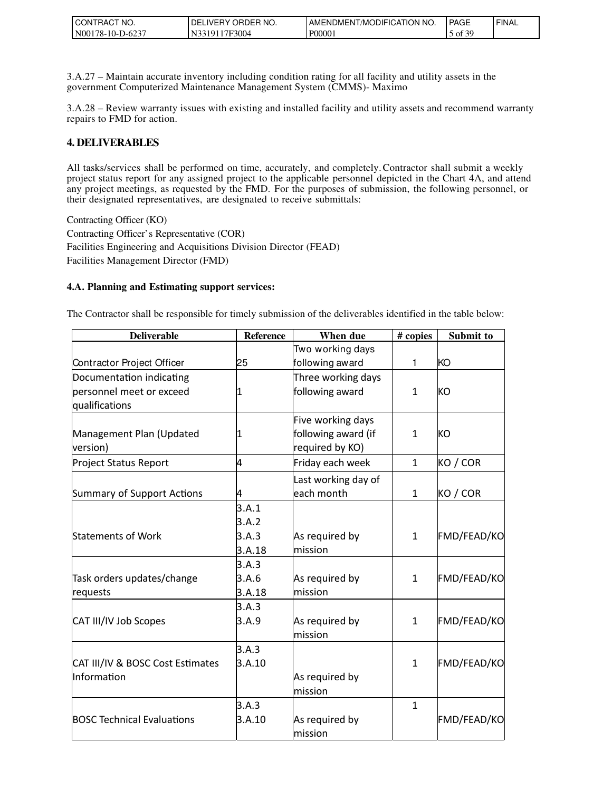| <b>ICONTE</b><br>'NO.<br>™RAU.      | PRDER NO.<br>ORDEP<br>DЕ<br>.∟IVERY | FICATION<br>NO.<br>. ı /MODIF™<br><b>AMENDMEN</b> | PAGE                | ' FINAL |
|-------------------------------------|-------------------------------------|---------------------------------------------------|---------------------|---------|
| $-D-623$<br><b>N0017</b><br>78-10-L | <sup>*7F3004</sup><br>3191          | P0000                                             | - 2C<br>$5$ of<br>◡ |         |

3.A.27 – Maintain accurate inventory including condition rating for all facility and utility assets in the government Computerized Maintenance Management System (CMMS)- Maximo

3.A.28 – Review warranty issues with existing and installed facility and utility assets and recommend warranty repairs to FMD for action.

### **4. DELIVERABLES**

All tasks/services shall be performed on time, accurately, and completely.Contractor shall submit a weekly project status report for any assigned project to the applicable personnel depicted in the Chart 4A, and attend any project meetings, as requested by the FMD. For the purposes of submission, the following personnel, or their designated representatives, are designated to receive submittals:

Contracting Officer (KO) Contracting Officer's Representative (COR) Facilities Engineering and Acquisitions Division Director (FEAD) Facilities Management Director (FMD)

#### **4.A. Planning and Estimating support services:**

The Contractor shall be responsible for timely submission of the deliverables identified in the table below:

| <b>Deliverable</b>                | <b>Reference</b> | When due            | # copies     | Submit to          |
|-----------------------------------|------------------|---------------------|--------------|--------------------|
|                                   |                  | Two working days    |              |                    |
| Contractor Project Officer        | 25               | following award     | 1            | KO                 |
| Documentation indicating          |                  | Three working days  |              |                    |
| personnel meet or exceed          | 1                | following award     | $\mathbf{1}$ | KO                 |
| qualifications                    |                  |                     |              |                    |
|                                   |                  | Five working days   |              |                    |
| Management Plan (Updated          | 11               | following award (if | $\mathbf{1}$ | KO                 |
| version)                          |                  | required by KO)     |              |                    |
| <b>Project Status Report</b>      | 4                | Friday each week    | $\mathbf{1}$ | KO / COR           |
|                                   |                  | Last working day of |              |                    |
| Summary of Support Actions        | 4                | each month          | $\mathbf{1}$ | KO / COR           |
|                                   | 3.A.1            |                     |              |                    |
|                                   | 3.A.2            |                     |              |                    |
| Statements of Work                | 3.A.3            | As required by      | $\mathbf{1}$ | FMD/FEAD/KO        |
|                                   | 3.A.18           | mission             |              |                    |
|                                   | 3.A.3            |                     |              |                    |
| Task orders updates/change        | 3.A.6            | As required by      | $\mathbf{1}$ | <b>FMD/FEAD/KO</b> |
| requests                          | 3.A.18           | mission             |              |                    |
|                                   | 3.A.3            |                     |              |                    |
| CAT III/IV Job Scopes             | 3.A.9            | As required by      | $\mathbf{1}$ | FMD/FEAD/KO        |
|                                   |                  | mission             |              |                    |
|                                   | 3.A.3            |                     |              |                    |
| CAT III/IV & BOSC Cost Estimates  | 3.A.10           |                     | $\mathbf{1}$ | FMD/FEAD/KO        |
| Information                       |                  | As required by      |              |                    |
|                                   |                  | mission             |              |                    |
|                                   | 3.A.3            |                     | $\mathbf{1}$ |                    |
| <b>BOSC Technical Evaluations</b> | 3.A.10           | As required by      |              | FMD/FEAD/KO        |
|                                   |                  | mission             |              |                    |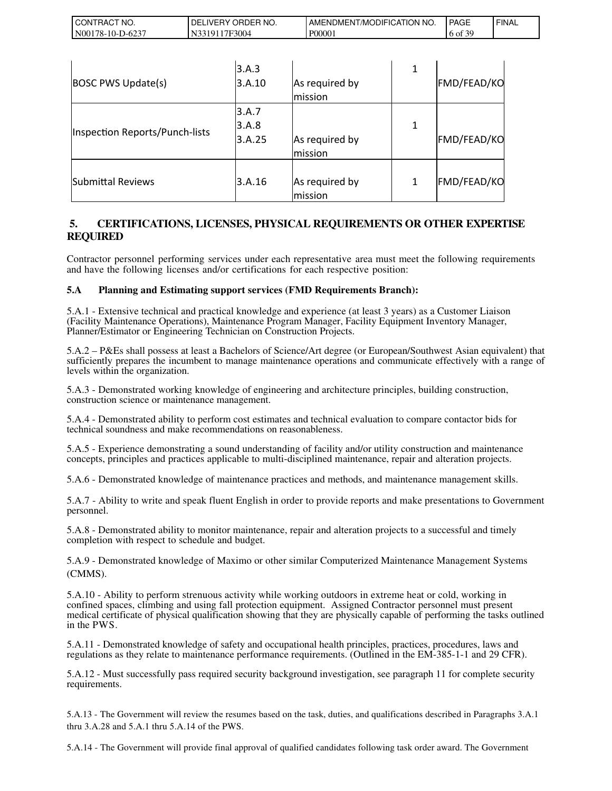| . CONTRACT<br>" NO. | ' ORDER NO.<br>DELI<br>_IVERY ( | AMENDMENT/MODIFICATION<br>'NO. | <b>PAGE</b> | <b>FINAL</b> |
|---------------------|---------------------------------|--------------------------------|-------------|--------------|
| N00178-10-D-6237    | '3319117F3004                   | P00001                         | f30<br>6 of |              |

| <b>BOSC PWS Update(s)</b>      | 3.A.3<br>3.A.10          | As required by<br>mission | 1 | FMD/FEAD/KO |
|--------------------------------|--------------------------|---------------------------|---|-------------|
| Inspection Reports/Punch-lists | 3.A.7<br>3.A.8<br>3.A.25 | As required by<br>mission | 1 | FMD/FEAD/KO |
| Submittal Reviews              | 3.A.16                   | As required by<br>mission | 1 | FMD/FEAD/KO |

### **5. CERTIFICATIONS, LICENSES, PHYSICAL REQUIREMENTS OR OTHER EXPERTISE REQUIRED**

Contractor personnel performing services under each representative area must meet the following requirements and have the following licenses and/or certifications for each respective position:

#### **5.A Planning and Estimating support services (FMD Requirements Branch):**

5.A.1 - Extensive technical and practical knowledge and experience (at least 3 years) as a Customer Liaison (Facility Maintenance Operations), Maintenance Program Manager, Facility Equipment Inventory Manager, Planner/Estimator or Engineering Technician on Construction Projects.

5.A.2 – P&Es shall possess at least a Bachelors of Science/Art degree (or European/Southwest Asian equivalent) that sufficiently prepares the incumbent to manage maintenance operations and communicate effectively with a range of levels within the organization.

5.A.3 - Demonstrated working knowledge of engineering and architecture principles, building construction, construction science or maintenance management.

5.A.4 - Demonstrated ability to perform cost estimates and technical evaluation to compare contactor bids for technical soundness and make recommendations on reasonableness.

5.A.5 - Experience demonstrating a sound understanding of facility and/or utility construction and maintenance concepts, principles and practices applicable to multi-disciplined maintenance, repair and alteration projects.

5.A.6 - Demonstrated knowledge of maintenance practices and methods, and maintenance management skills.

5.A.7 - Ability to write and speak fluent English in order to provide reports and make presentations to Government personnel.

5.A.8 - Demonstrated ability to monitor maintenance, repair and alteration projects to a successful and timely completion with respect to schedule and budget.

5.A.9 - Demonstrated knowledge of Maximo or other similar Computerized Maintenance Management Systems (CMMS).

5.A.10 - Ability to perform strenuous activity while working outdoors in extreme heat or cold, working in confined spaces, climbing and using fall protection equipment. Assigned Contractor personnel must present medical certificate of physical qualification showing that they are physically capable of performing the tasks outlined in the PWS.

5.A.11 - Demonstrated knowledge of safety and occupational health principles, practices, procedures, laws and regulations as they relate to maintenance performance requirements. (Outlined in the EM-385-1-1 and 29 CFR).

5.A.12 - Must successfully pass required security background investigation, see paragraph 11 for complete security requirements.

5.A.13 - The Government will review the resumes based on the task, duties, and qualifications described in Paragraphs 3.A.1 thru 3.A.28 and 5.A.1 thru 5.A.14 of the PWS.

5.A.14 - The Government will provide final approval of qualified candidates following task order award. The Government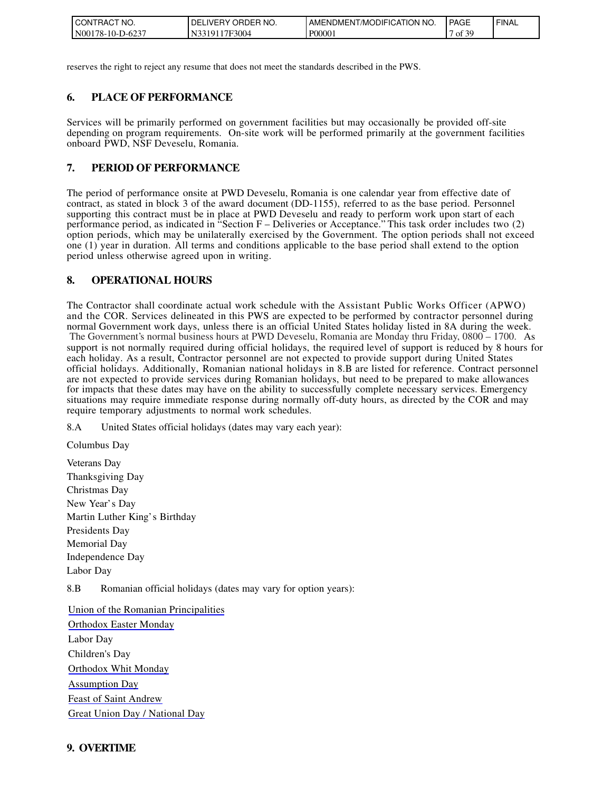| <b>ICONTE</b><br>" NO.<br>ਾਸA∪. | PRDER NO.<br>DF<br>∟IVERY<br><b>ORDEP</b> | <b>FICATION</b><br>NO.<br>'/MODIFI<br>AMENDMEN | <b>PAGE</b>     | ' FINAL |
|---------------------------------|-------------------------------------------|------------------------------------------------|-----------------|---------|
| $-6237$<br>N0017<br>$78-10-D$   | <sup>1</sup> 7F3004<br>13191              | P0000 <sub>1</sub>                             | f 20<br>0t<br>◡ |         |

reserves the right to reject any resume that does not meet the standards described in the PWS.

### **6. PLACE OF PERFORMANCE**

Services will be primarily performed on government facilities but may occasionally be provided off-site depending on program requirements. On-site work will be performed primarily at the government facilities onboard PWD, NSF Deveselu, Romania.

### **7. PERIOD OF PERFORMANCE**

The period of performance onsite at PWD Deveselu, Romania is one calendar year from effective date of contract, as stated in block 3 of the award document (DD-1155), referred to as the base period. Personnel supporting this contract must be in place at PWD Deveselu and ready to perform work upon start of each performance period, as indicated in "Section F – Deliveries or Acceptance." This task order includes two (2) option periods, which may be unilaterally exercised by the Government. The option periods shall not exceed one (1) year in duration. All terms and conditions applicable to the base period shall extend to the option period unless otherwise agreed upon in writing.

### **8. OPERATIONAL HOURS**

The Contractor shall coordinate actual work schedule with the Assistant Public Works Officer (APWO) and the COR. Services delineated in this PWS are expected to be performed by contractor personnel during normal Government work days, unless there is an official United States holiday listed in 8A during the week. The Government's normal business hours at PWD Deveselu, Romania are Monday thru Friday, 0800 – 1700. As support is not normally required during official holidays, the required level of support is reduced by 8 hours for each holiday. As a result, Contractor personnel are not expected to provide support during United States official holidays. Additionally, Romanian national holidays in 8.B are listed for reference. Contract personnel are not expected to provide services during Romanian holidays, but need to be prepared to make allowances for impacts that these dates may have on the ability to successfully complete necessary services. Emergency situations may require immediate response during normally off-duty hours, as directed by the COR and may require temporary adjustments to normal work schedules.

8.A United States official holidays (dates may vary each year):

Columbus Day

Veterans Day Thanksgiving Day Christmas Day New Year's Day Martin Luther King's Birthday Presidents Day Memorial Day Independence Day Labor Day

8.B Romanian official holidays (dates may vary for option years):

[Union of the Romanian Principalities](http://publicholidays.ro/union-of-the-romanian-principalities/) [Orthodox Easter Monday](http://publicholidays.ro/easter/) Labor Day Children's Day [Orthodox Whit Monday](http://publicholidays.ro/pentecost/) [Assumption Day](http://publicholidays.ro/assumption-day/) [Feast of Saint Andrew](http://publicholidays.ro/feast-of-saint-andrew/) [Great Union Day / National Day](http://publicholidays.ro/great-union-day/)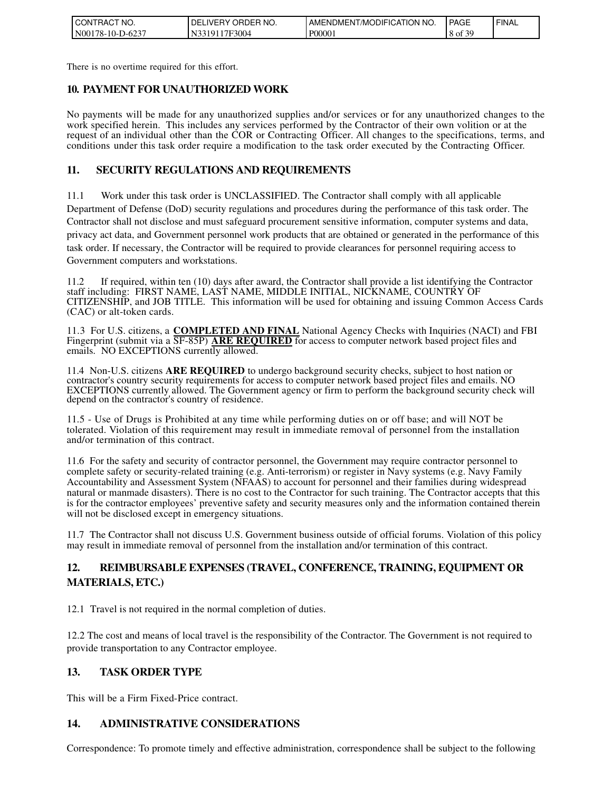| CT NO.<br><b>ICONT</b><br>'TRAC . | ORDER NO.<br>' DE.<br>∟IVERY I | <b>ATION</b><br>NO.<br><b>I AMENDMENT/MODIFICAT</b> | <b>PAGE</b>  | <b>FINAL</b> |
|-----------------------------------|--------------------------------|-----------------------------------------------------|--------------|--------------|
| N00178-10-D-6237                  | '7F3004<br>N33<br>. 1 Q 1      | P00001                                              | ۹۵ ع<br>8 of |              |

There is no overtime required for this effort.

### **10. PAYMENT FOR UNAUTHORIZED WORK**

No payments will be made for any unauthorized supplies and/or services or for any unauthorized changes to the work specified herein. This includes any services performed by the Contractor of their own volition or at the request of an individual other than the COR or Contracting Officer. All changes to the specifications, terms, and conditions under this task order require a modification to the task order executed by the Contracting Officer.

### **11. SECURITY REGULATIONS AND REQUIREMENTS**

11.1 Work under this task order is UNCLASSIFIED. The Contractor shall comply with all applicable Department of Defense (DoD) security regulations and procedures during the performance of this task order. The Contractor shall not disclose and must safeguard procurement sensitive information, computer systems and data, privacy act data, and Government personnel work products that are obtained or generated in the performance of this task order. If necessary, the Contractor will be required to provide clearances for personnel requiring access to Government computers and workstations.

11.2 If required, within ten (10) days after award, the Contractor shall provide a list identifying the Contractor staff including: FIRST NAME, LAST NAME, MIDDLE INITIAL, NICKNAME, COUNTRY OF CITIZENSHIP, and JOB TITLE. This information will be used for obtaining and issuing Common Access Cards (CAC) or alt-token cards.

11.3 For U.S. citizens, a **COMPLETED AND FINAL** National Agency Checks with Inquiries (NACI) and FBI Fingerprint (submit via a SF-85P) **ARE REQUIRED** for access to computer network based project files and emails. NO EXCEPTIONS currently allowed.

11.4 Non-U.S. citizens **ARE REQUIRED** to undergo background security checks, subject to host nation or contractor's country security requirements for access to computer network based project files and emails. NO EXCEPTIONS currently allowed. The Government agency or firm to perform the background security check will depend on the contractor's country of residence.

11.5 - Use of Drugs is Prohibited at any time while performing duties on or off base; and will NOT be tolerated. Violation of this requirement may result in immediate removal of personnel from the installation and/or termination of this contract.

11.6 For the safety and security of contractor personnel, the Government may require contractor personnel to complete safety or security-related training (e.g. Anti-terrorism) or register in Navy systems (e.g. Navy Family Accountability and Assessment System (NFAAS) to account for personnel and their families during widespread natural or manmade disasters). There is no cost to the Contractor for such training. The Contractor accepts that this is for the contractor employees' preventive safety and security measures only and the information contained therein will not be disclosed except in emergency situations.

11.7 The Contractor shall not discuss U.S. Government business outside of official forums. Violation of this policy may result in immediate removal of personnel from the installation and/or termination of this contract.

# **12. REIMBURSABLE EXPENSES (TRAVEL, CONFERENCE, TRAINING, EQUIPMENT OR MATERIALS, ETC.)**

12.1 Travel is not required in the normal completion of duties.

12.2 The cost and means of local travel is the responsibility of the Contractor. The Government is not required to provide transportation to any Contractor employee.

### **13. TASK ORDER TYPE**

This will be a Firm Fixed-Price contract.

# **14. ADMINISTRATIVE CONSIDERATIONS**

Correspondence: To promote timely and effective administration, correspondence shall be subject to the following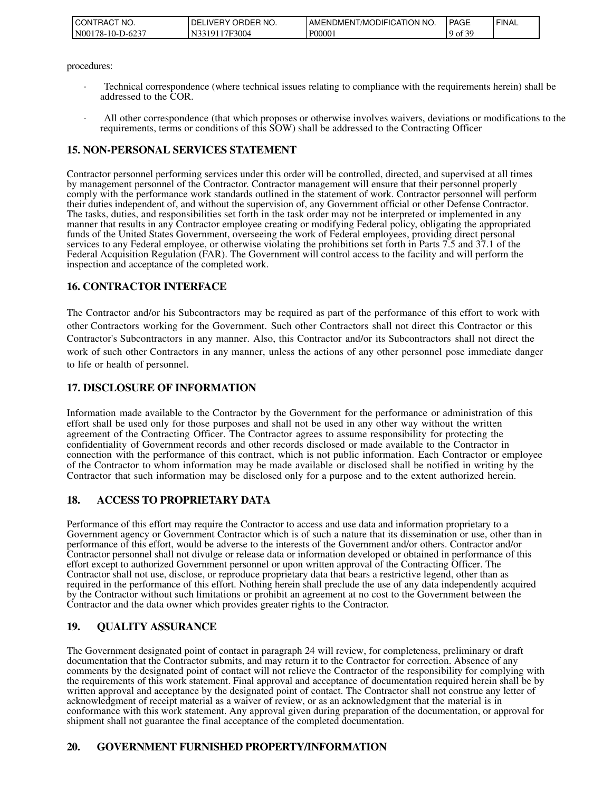| TRACT NO.<br><b>ICONT</b> | ' ORDER NO.<br><b>IVERY</b><br>DE | AMENDMENT/MODIFICATION NO. | <b>PAGE</b>     | ' FINAL |
|---------------------------|-----------------------------------|----------------------------|-----------------|---------|
| N00178-10-D-6237          | 17F3004<br>$310^{\circ}$          | P00001                     | f 20<br>$90t$ . |         |

#### procedures:

- · Technical correspondence (where technical issues relating to compliance with the requirements herein) shall be addressed to the COR.
- All other correspondence (that which proposes or otherwise involves waivers, deviations or modifications to the requirements, terms or conditions of this SOW) shall be addressed to the Contracting Officer

### **15. NON-PERSONAL SERVICES STATEMENT**

Contractor personnel performing services under this order will be controlled, directed, and supervised at all times by management personnel of the Contractor. Contractor management will ensure that their personnel properly comply with the performance work standards outlined in the statement of work. Contractor personnel will perform their duties independent of, and without the supervision of, any Government official or other Defense Contractor. The tasks, duties, and responsibilities set forth in the task order may not be interpreted or implemented in any manner that results in any Contractor employee creating or modifying Federal policy, obligating the appropriated funds of the United States Government, overseeing the work of Federal employees, providing direct personal services to any Federal employee, or otherwise violating the prohibitions set forth in Parts 7.5 and 37.1 of the Federal Acquisition Regulation (FAR). The Government will control access to the facility and will perform the inspection and acceptance of the completed work.

### **16. CONTRACTOR INTERFACE**

The Contractor and/or his Subcontractors may be required as part of the performance of this effort to work with other Contractors working for the Government. Such other Contractors shall not direct this Contractor or this Contractor's Subcontractors in any manner. Also, this Contractor and/or its Subcontractors shall not direct the work of such other Contractors in any manner, unless the actions of any other personnel pose immediate danger to life or health of personnel.

### **17. DISCLOSURE OF INFORMATION**

Information made available to the Contractor by the Government for the performance or administration of this effort shall be used only for those purposes and shall not be used in any other way without the written agreement of the Contracting Officer. The Contractor agrees to assume responsibility for protecting the confidentiality of Government records and other records disclosed or made available to the Contractor in connection with the performance of this contract, which is not public information. Each Contractor or employee of the Contractor to whom information may be made available or disclosed shall be notified in writing by the Contractor that such information may be disclosed only for a purpose and to the extent authorized herein.

#### **18. ACCESS TO PROPRIETARY DATA**

Performance of this effort may require the Contractor to access and use data and information proprietary to a Government agency or Government Contractor which is of such a nature that its dissemination or use, other than in performance of this effort, would be adverse to the interests of the Government and/or others. Contractor and/or Contractor personnel shall not divulge or release data or information developed or obtained in performance of this effort except to authorized Government personnel or upon written approval of the Contracting Officer. The Contractor shall not use, disclose, or reproduce proprietary data that bears a restrictive legend, other than as required in the performance of this effort. Nothing herein shall preclude the use of any data independently acquired by the Contractor without such limitations or prohibit an agreement at no cost to the Government between the Contractor and the data owner which provides greater rights to the Contractor.

### **19. QUALITY ASSURANCE**

The Government designated point of contact in paragraph 24 will review, for completeness, preliminary or draft documentation that the Contractor submits, and may return it to the Contractor for correction. Absence of any comments by the designated point of contact will not relieve the Contractor of the responsibility for complying with the requirements of this work statement. Final approval and acceptance of documentation required herein shall be by written approval and acceptance by the designated point of contact. The Contractor shall not construe any letter of acknowledgment of receipt material as a waiver of review, or as an acknowledgment that the material is in conformance with this work statement. Any approval given during preparation of the documentation, or approval for shipment shall not guarantee the final acceptance of the completed documentation.

### **20. GOVERNMENT FURNISHED PROPERTY/INFORMATION**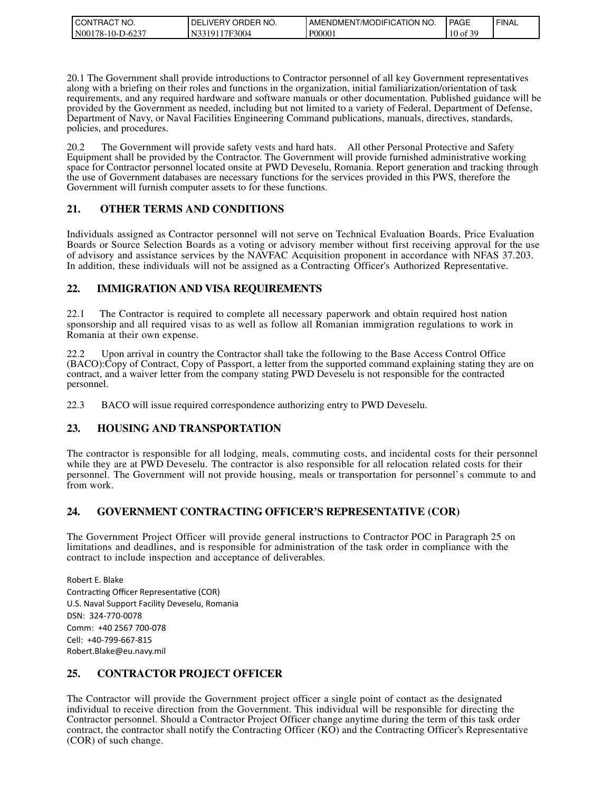| CONTRACT NO.     | ' ORDER NO.<br>DELIVERY O | I AMENDMENT/MODIFICATION NO. | <b>I PAGE</b>        | ' FINAL |
|------------------|---------------------------|------------------------------|----------------------|---------|
| N00178-10-D-6237 | N3319117F3004             | P00001                       | f 20<br>$10$ of $3'$ |         |

20.1 The Government shall provide introductions to Contractor personnel of all key Government representatives along with a briefing on their roles and functions in the organization, initial familiarization/orientation of task requirements, and any required hardware and software manuals or other documentation. Published guidance will be provided by the Government as needed, including but not limited to a variety of Federal, Department of Defense, Department of Navy, or Naval Facilities Engineering Command publications, manuals, directives, standards, policies, and procedures.

The Government will provide safety vests and hard hats. All other Personal Protective and Safety Equipment shall be provided by the Contractor. The Government will provide furnished administrative working space for Contractor personnel located onsite at PWD Deveselu, Romania. Report generation and tracking through the use of Government databases are necessary functions for the services provided in this PWS, therefore the Government will furnish computer assets to for these functions.

### **21. OTHER TERMS AND CONDITIONS**

Individuals assigned as Contractor personnel will not serve on Technical Evaluation Boards, Price Evaluation Boards or Source Selection Boards as a voting or advisory member without first receiving approval for the use of advisory and assistance services by the NAVFAC Acquisition proponent in accordance with NFAS 37.203. In addition, these individuals will not be assigned as a Contracting Officer's Authorized Representative.

# **22. IMMIGRATION AND VISA REQUIREMENTS**

22.1 The Contractor is required to complete all necessary paperwork and obtain required host nation sponsorship and all required visas to as well as follow all Romanian immigration regulations to work in Romania at their own expense.

22.2 Upon arrival in country the Contractor shall take the following to the Base Access Control Office (BACO):Copy of Contract, Copy of Passport, a letter from the supported command explaining stating they are on contract, and a waiver letter from the company stating PWD Deveselu is not responsible for the contracted personnel.

22.3 BACO will issue required correspondence authorizing entry to PWD Deveselu.

# **23. HOUSING AND TRANSPORTATION**

The contractor is responsible for all lodging, meals, commuting costs, and incidental costs for their personnel while they are at PWD Deveselu. The contractor is also responsible for all relocation related costs for their personnel. The Government will not provide housing, meals or transportation for personnel's commute to and from work.

### **24. GOVERNMENT CONTRACTING OFFICER'S REPRESENTATIVE (COR)**

The Government Project Officer will provide general instructions to Contractor POC in Paragraph 25 on limitations and deadlines, and is responsible for administration of the task order in compliance with the contract to include inspection and acceptance of deliverables.

Robert E. Blake Contracting Officer Representative (COR) U.S. Naval Support Facility Deveselu, Romania DSN: 324-770-0078 Comm: +40 2567 700-078 Cell: +40-799-667-815 Robert.Blake@eu.navy.mil

# **25. CONTRACTOR PROJECT OFFICER**

The Contractor will provide the Government project officer a single point of contact as the designated individual to receive direction from the Government. This individual will be responsible for directing the Contractor personnel. Should a Contractor Project Officer change anytime during the term of this task order contract, the contractor shall notify the Contracting Officer (KO) and the Contracting Officer's Representative (COR) of such change.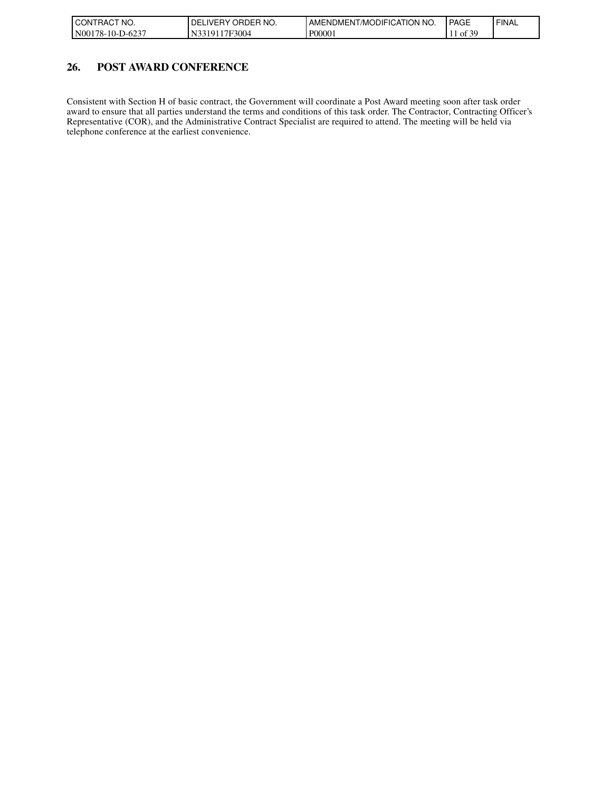| I CONTRACT NO.    | ORDER NO.<br><b>DELIVERY</b> | <b>I AMENDMENT/MODIFICATION I</b><br>' NO. | <b>PAGE</b>               | <b>FINAL</b> |
|-------------------|------------------------------|--------------------------------------------|---------------------------|--------------|
| IN00178-10-D-6237 | N3319117F3004                | P00001                                     | $\pm$ of $\overline{z}$ . |              |

### **26. POST AWARD CONFERENCE**

Consistent with Section H of basic contract, the Government will coordinate a Post Award meeting soon after task order award to ensure that all parties understand the terms and conditions of this task order. The Contractor, Contracting Officer's Representative (COR), and the Administrative Contract Specialist are required to attend. The meeting will be held via telephone conference at the earliest convenience.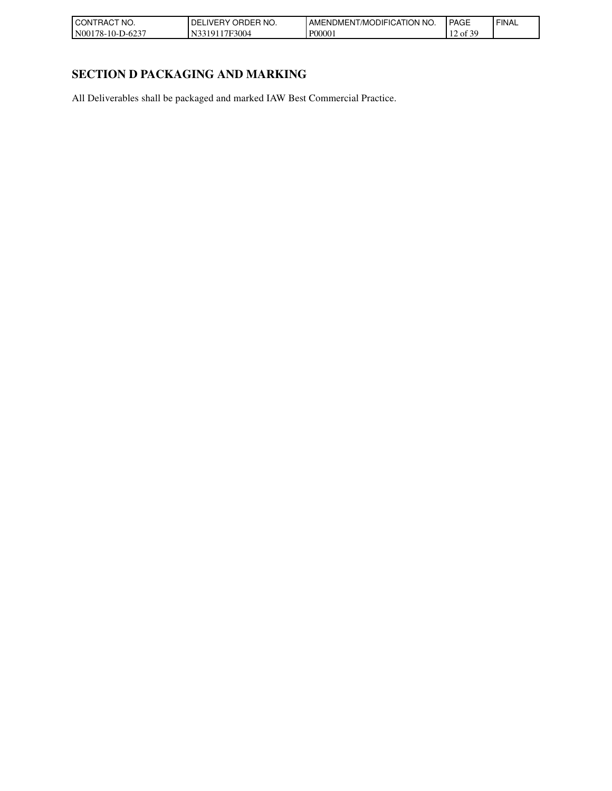| l CON<br>'NO.<br>`RAC.                | NO.<br>ואנ<br>RDER.<br>$V$ $\vdash$ $\vdash$ | 'N NO.<br>TION<br>ODIFICA<br>AMENL<br>JMENT″<br>/M | <b>PAGE</b>                                        | <b>FINAL</b> |
|---------------------------------------|----------------------------------------------|----------------------------------------------------|----------------------------------------------------|--------------|
| N00<br>$\sqrt{2}$<br>78-10-L<br>$-62$ | <sup>7</sup> F3004                           | P00001                                             | . 30<br>$\sim$<br>$'$ of $\circ$<br>$\overline{ }$ |              |

# **SECTION D PACKAGING AND MARKING**

All Deliverables shall be packaged and marked IAW Best Commercial Practice.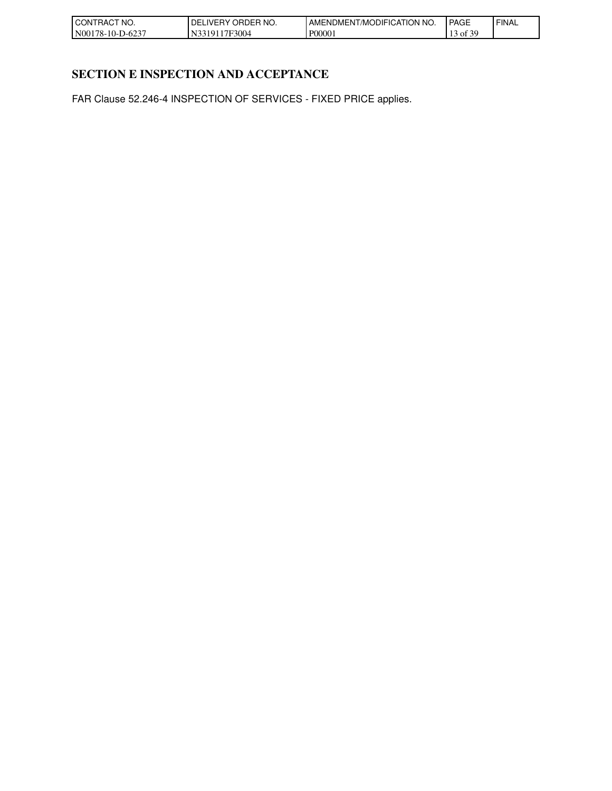| 'NO.<br>CONTRAC <sup>-</sup>                     | ORDER NO.<br>DE<br>. IVERY. | $'$ NO.<br>TION<br>ODIFICA<br>/MC<br>AMENDMENT/ | <b>PAGE</b>               | <b>FINAL</b> |
|--------------------------------------------------|-----------------------------|-------------------------------------------------|---------------------------|--------------|
| $\sim$<br>N00 <sub>1</sub><br>. 78-10-1<br>$-62$ | 7F3004<br>۱O<br>-Ni         | P00001                                          | 30<br>$\sim$<br>` OI<br>◡ |              |

# **SECTION E INSPECTION AND ACCEPTANCE**

FAR Clause 52.246-4 INSPECTION OF SERVICES - FIXED PRICE applies.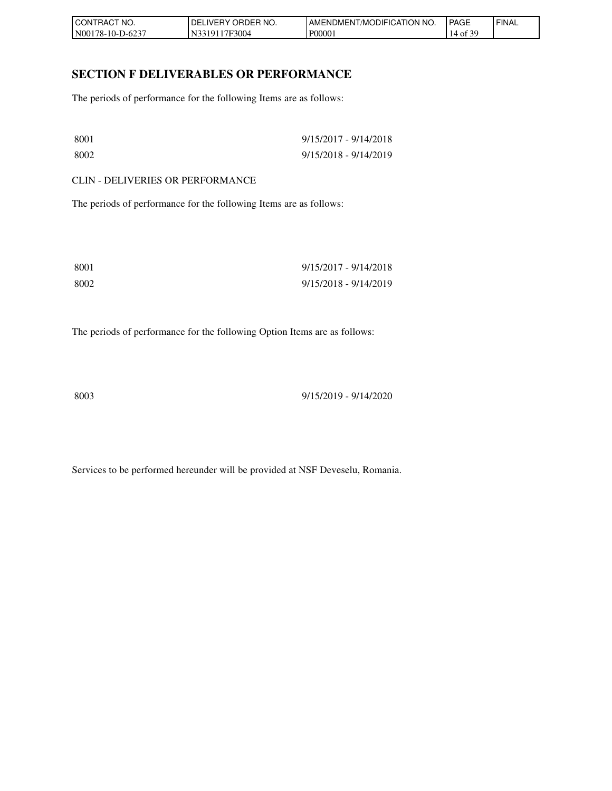| ' CONTRACT NO.   | ORDER NO.<br>_IVERY '<br>DELI | AMENDMENT/MODIFICATION  <br>NO. | <b>PAGE</b>                 | ' FINAL |
|------------------|-------------------------------|---------------------------------|-----------------------------|---------|
| N00178-10-D-6237 | 17F3004<br>33191              | P00001                          | f 30<br>$\cdot$ of 3.<br>14 |         |

### **SECTION F DELIVERABLES OR PERFORMANCE**

The periods of performance for the following Items are as follows:

| -8001 | 9/15/2017 - 9/14/2018 |
|-------|-----------------------|
| 8002  | 9/15/2018 - 9/14/2019 |

CLIN - DELIVERIES OR PERFORMANCE

The periods of performance for the following Items are as follows:

| 8001 | 9/15/2017 - 9/14/2018 |
|------|-----------------------|
| 8002 | 9/15/2018 - 9/14/2019 |

The periods of performance for the following Option Items are as follows:

8003 9/15/2019 - 9/14/2020

Services to be performed hereunder will be provided at NSF Deveselu, Romania.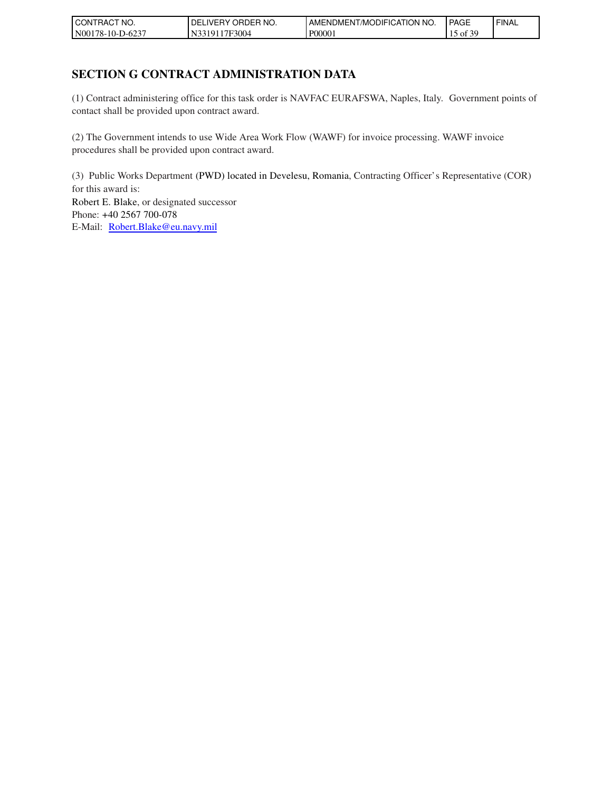| 'NO.<br>⊥RACT.<br>CON1       | `ER NO.<br>ORDEP<br>'DEL.<br>LIVERY. | <b>ICATION</b><br>' NO.<br>$\cdot$ MODIFIC<br>AMENDMEN I | <b>PAGE</b>                                   | <b>FINAL</b> |
|------------------------------|--------------------------------------|----------------------------------------------------------|-----------------------------------------------|--------------|
| N001<br>78-10-E<br>$11-62$ . | '7F3004<br>3101                      | P0000                                                    | c oc<br>ΟĪ<br>ن 1<br>$\overline{\phantom{a}}$ |              |

# **SECTION G CONTRACT ADMINISTRATION DATA**

(1) Contract administering office for this task order is NAVFAC EURAFSWA, Naples, Italy. Government points of contact shall be provided upon contract award.

(2) The Government intends to use Wide Area Work Flow (WAWF) for invoice processing. WAWF invoice procedures shall be provided upon contract award.

(3) Public Works Department (PWD) located in Develesu, Romania, Contracting Officer's Representative (COR) for this award is: Robert E. Blake, or designated successor Phone: +40 2567 700-078 E-Mail: [Robert.Blake@eu.navy.mil](mailto:Robert.Blake@eu.navy.mil)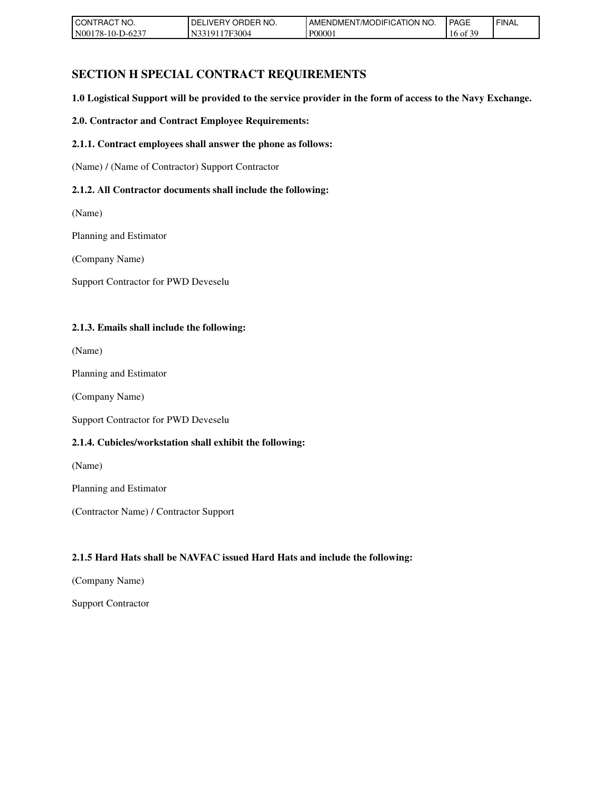| . RACT<br>'NO.<br>CONT | ' ORDER NO.<br>DELI<br>IVERY. | AMENDMENT/MODIFICATION<br>NO. | <b>PAGE</b>  | ' FINAL |
|------------------------|-------------------------------|-------------------------------|--------------|---------|
| N00178-10-D-6237       | 17F3004<br>3191               | P00001                        | $16$ of $3'$ |         |

# **SECTION H SPECIAL CONTRACT REQUIREMENTS**

**1.0 Logistical Support will be provided to the service provider in the form of access to the Navy Exchange.**

#### **2.0. Contractor and Contract Employee Requirements:**

#### **2.1.1. Contract employees shall answer the phone as follows:**

(Name) / (Name of Contractor) Support Contractor

#### **2.1.2. All Contractor documents shall include the following:**

(Name)

Planning and Estimator

(Company Name)

Support Contractor for PWD Deveselu

#### **2.1.3. Emails shall include the following:**

(Name)

Planning and Estimator

(Company Name)

Support Contractor for PWD Deveselu

#### **2.1.4. Cubicles/workstation shall exhibit the following:**

(Name)

Planning and Estimator

(Contractor Name) / Contractor Support

#### **2.1.5 Hard Hats shall be NAVFAC issued Hard Hats and include the following:**

(Company Name)

Support Contractor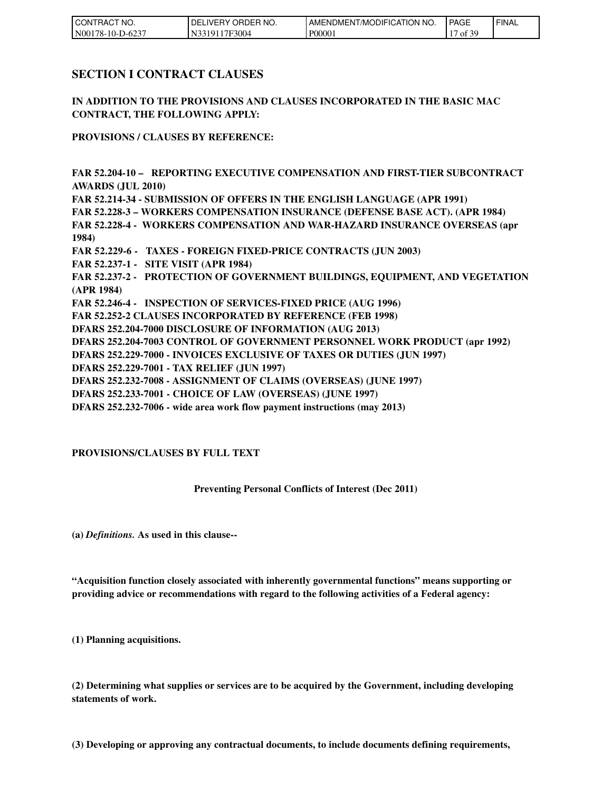| I CON <sup>-</sup><br>TRACT NO. | ORDER NO.<br>DEL<br>LIVERY ' | <b>LAMENDMENT/MODIFICATION I</b><br>'NO. | <b>PAGE</b>                     | ' FINAL |
|---------------------------------|------------------------------|------------------------------------------|---------------------------------|---------|
| N00178-10-D-6237                | 17F3004<br>33191             | P00001                                   | f 30<br>. .<br>$\sim$ 01 $\sim$ |         |

### **SECTION I CONTRACT CLAUSES**

**IN ADDITION TO THE PROVISIONS AND CLAUSES INCORPORATED IN THE BASIC MAC CONTRACT, THE FOLLOWING APPLY:**

**PROVISIONS / CLAUSES BY REFERENCE:**

**FAR 52.204-10 – REPORTING EXECUTIVE COMPENSATION AND FIRST-TIER SUBCONTRACT AWARDS (JUL 2010) FAR 52.214-34 - SUBMISSION OF OFFERS IN THE ENGLISH LANGUAGE (APR 1991) FAR 52.228-3 – WORKERS COMPENSATION INSURANCE (DEFENSE BASE ACT). (APR 1984) FAR 52.228-4 - WORKERS COMPENSATION AND WAR-HAZARD INSURANCE OVERSEAS (apr 1984) FAR 52.229-6 - TAXES - FOREIGN FIXED-PRICE CONTRACTS (JUN 2003) FAR 52.237-1 - SITE VISIT (APR 1984) FAR 52.237-2 - PROTECTION OF GOVERNMENT BUILDINGS, EQUIPMENT, AND VEGETATION (APR 1984) FAR 52.246-4 - INSPECTION OF SERVICES-FIXED PRICE (AUG 1996) FAR 52.252-2 CLAUSES INCORPORATED BY REFERENCE (FEB 1998) DFARS 252.204-7000 DISCLOSURE OF INFORMATION (AUG 2013) DFARS 252.204-7003 CONTROL OF GOVERNMENT PERSONNEL WORK PRODUCT (apr 1992) DFARS 252.229-7000 - INVOICES EXCLUSIVE OF TAXES OR DUTIES (JUN 1997) DFARS 252.229-7001 - TAX RELIEF (JUN 1997) DFARS 252.232-7008 - ASSIGNMENT OF CLAIMS (OVERSEAS) (JUNE 1997) DFARS 252.233-7001 - CHOICE OF LAW (OVERSEAS) (JUNE 1997)** 

**DFARS 252.232-7006 - wide area work flow payment instructions (may 2013)**

#### **PROVISIONS/CLAUSES BY FULL TEXT**

#### **Preventing Personal Conflicts of Interest (Dec 2011)**

**(a)** *Definitions.* **As used in this clause--**

**"Acquisition function closely associated with inherently governmental functions" means supporting or providing advice or recommendations with regard to the following activities of a Federal agency:**

**(1) Planning acquisitions.**

**(2) Determining what supplies or services are to be acquired by the Government, including developing statements of work.**

**(3) Developing or approving any contractual documents, to include documents defining requirements,**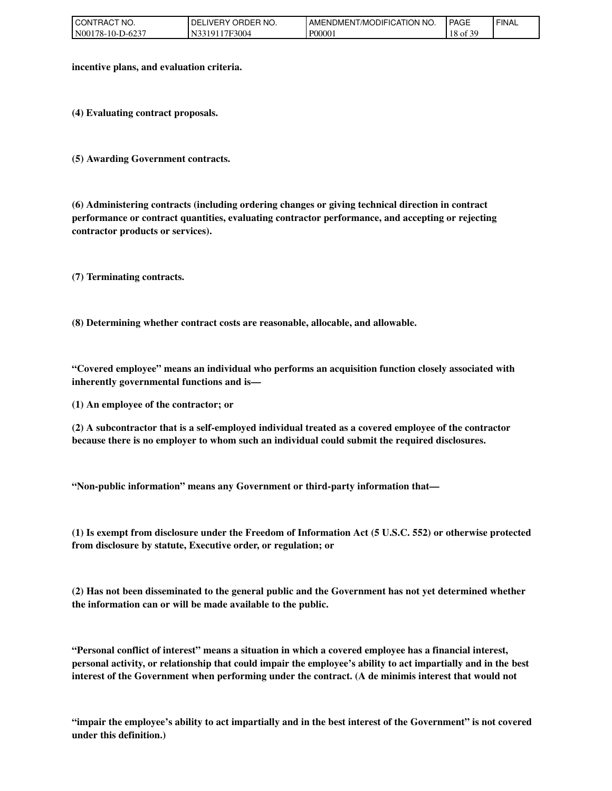| <b>I</b> CONT<br>CT NO.<br>™RA∪. | ORDER NO.<br>DEI<br>_IVERY_ | <b>AMENDMENT/MODIFICATION</b><br>NO. | <b>PAGE</b>            | ' FINAL |
|----------------------------------|-----------------------------|--------------------------------------|------------------------|---------|
| 178-10-D-6237<br>$N001$ .        | `7F3004                     | P00001                               | f 30<br>10<br>18 of 3' |         |

**incentive plans, and evaluation criteria.**

**(4) Evaluating contract proposals.**

**(5) Awarding Government contracts.**

**(6) Administering contracts (including ordering changes or giving technical direction in contract performance or contract quantities, evaluating contractor performance, and accepting or rejecting contractor products or services).**

**(7) Terminating contracts.**

**(8) Determining whether contract costs are reasonable, allocable, and allowable.**

**"Covered employee" means an individual who performs an acquisition function closely associated with inherently governmental functions and is—**

**(1) An employee of the contractor; or**

**(2) A subcontractor that is a self-employed individual treated as a covered employee of the contractor because there is no employer to whom such an individual could submit the required disclosures.**

**"Non-public information" means any Government or third-party information that—**

**(1) Is exempt from disclosure under the Freedom of Information Act (5 U.S.C. 552) or otherwise protected from disclosure by statute, Executive order, or regulation; or**

**(2) Has not been disseminated to the general public and the Government has not yet determined whether the information can or will be made available to the public.**

**"Personal conflict of interest" means a situation in which a covered employee has a financial interest, personal activity, or relationship that could impair the employee's ability to act impartially and in the best interest of the Government when performing under the contract. (A de minimis interest that would not**

**"impair the employee's ability to act impartially and in the best interest of the Government" is not covered under this definition.)**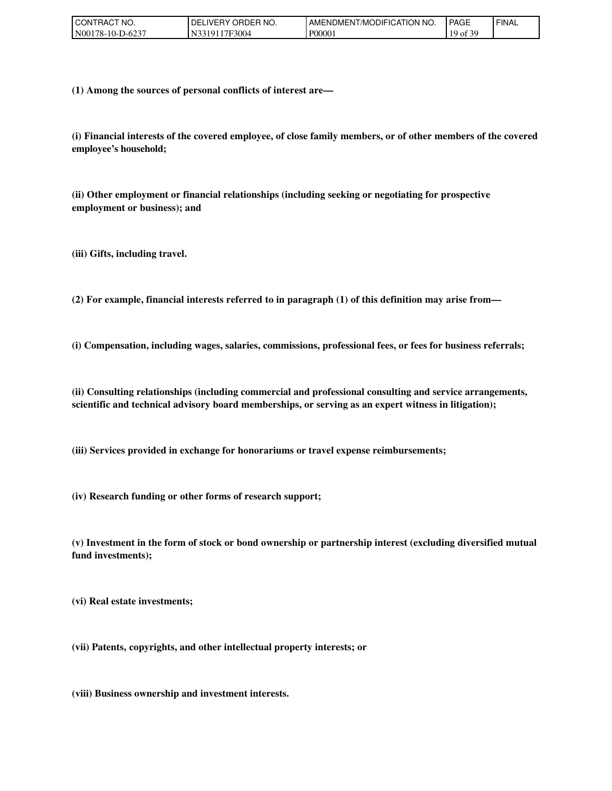| CT NO.<br>TRAC.<br>CON1       | ORDER<br>NO.<br>- I DEL.<br>.IVERY | ENDMENT/MODIFICATION NO.<br>AME. | <b>PAGE</b>          | ' FINAL |
|-------------------------------|------------------------------------|----------------------------------|----------------------|---------|
| N0017<br>78-10-L<br>$10-62$ . | 17F3004<br>101<br>'N.              | P0000 <sub>1</sub>               | coo<br>10<br>ΟÌ<br>ຼ |         |

**(1) Among the sources of personal conflicts of interest are—**

**(i) Financial interests of the covered employee, of close family members, or of other members of the covered employee's household;**

**(ii) Other employment or financial relationships (including seeking or negotiating for prospective employment or business); and**

**(iii) Gifts, including travel.**

**(2) For example, financial interests referred to in paragraph (1) of this definition may arise from—**

**(i) Compensation, including wages, salaries, commissions, professional fees, or fees for business referrals;**

**(ii) Consulting relationships (including commercial and professional consulting and service arrangements, scientific and technical advisory board memberships, or serving as an expert witness in litigation);**

**(iii) Services provided in exchange for honorariums or travel expense reimbursements;**

**(iv) Research funding or other forms of research support;**

**(v) Investment in the form of stock or bond ownership or partnership interest (excluding diversified mutual fund investments);**

**(vi) Real estate investments;**

**(vii) Patents, copyrights, and other intellectual property interests; or**

**(viii) Business ownership and investment interests.**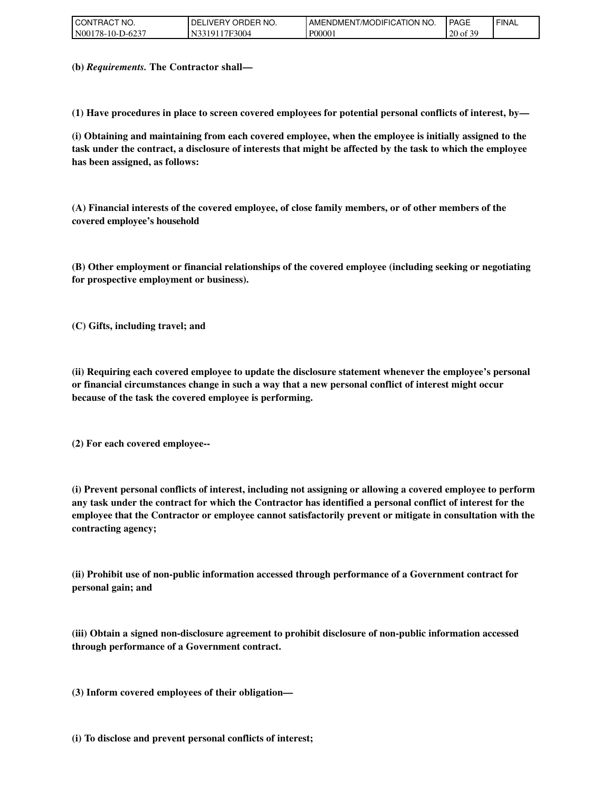| I CON'<br>TRACT NO.       | ORDER NO.<br><b>DELIVERY</b> | <b>I AMENDMENT/MODIFICATION</b><br>NO. | <b>PAGE</b>         | ' FINAL |
|---------------------------|------------------------------|----------------------------------------|---------------------|---------|
| N00178-10-D-<br>$-D-6237$ | <sup>1</sup> 7F3004<br>3101  | P00001                                 | f 30<br>$20$ of $3$ |         |

**(b)** *Requirements.* **The Contractor shall—**

**(1) Have procedures in place to screen covered employees for potential personal conflicts of interest, by—**

**(i) Obtaining and maintaining from each covered employee, when the employee is initially assigned to the task under the contract, a disclosure of interests that might be affected by the task to which the employee has been assigned, as follows:**

**(A) Financial interests of the covered employee, of close family members, or of other members of the covered employee's household**

**(B) Other employment or financial relationships of the covered employee (including seeking or negotiating for prospective employment or business).**

**(C) Gifts, including travel; and**

**(ii) Requiring each covered employee to update the disclosure statement whenever the employee's personal or financial circumstances change in such a way that a new personal conflict of interest might occur because of the task the covered employee is performing.**

**(2) For each covered employee--**

**(i) Prevent personal conflicts of interest, including not assigning or allowing a covered employee to perform any task under the contract for which the Contractor has identified a personal conflict of interest for the employee that the Contractor or employee cannot satisfactorily prevent or mitigate in consultation with the contracting agency;**

**(ii) Prohibit use of non-public information accessed through performance of a Government contract for personal gain; and**

**(iii) Obtain a signed non-disclosure agreement to prohibit disclosure of non-public information accessed through performance of a Government contract.**

**(3) Inform covered employees of their obligation—**

**(i) To disclose and prevent personal conflicts of interest;**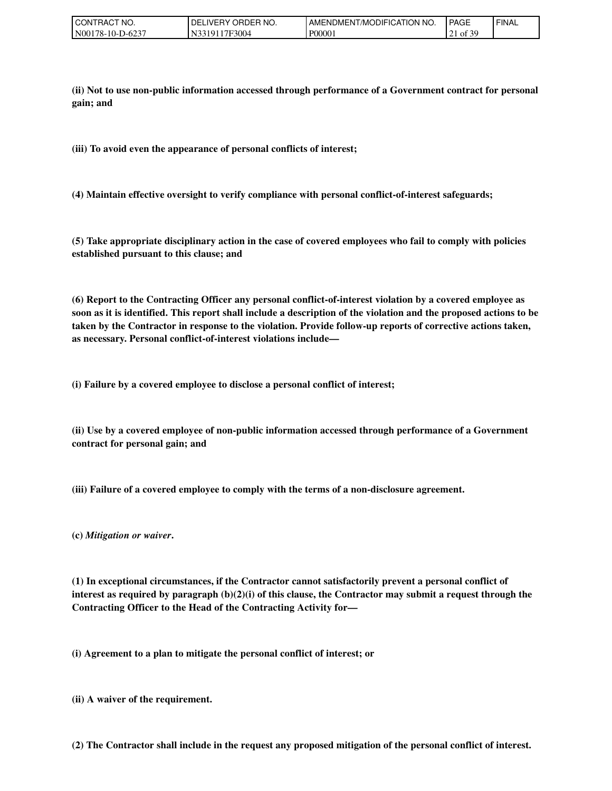| " NO.<br>CONTRACT                       | <b>ORDER</b><br>`NO.<br>'DEL.<br>IVF<br>.HY | AMENDMENT/MODIFICATION NO. | <b>PAGE</b>                                                          | ' FINAL |
|-----------------------------------------|---------------------------------------------|----------------------------|----------------------------------------------------------------------|---------|
| .D-623 <sup>-</sup><br>N00178-10-L<br>≖ | $-3004$<br>101                              | P00001                     | $\sim$ $\sim$ $\sim$<br>- 01<br>$\sim$ 1<br>$\overline{\phantom{0}}$ |         |

**(ii) Not to use non-public information accessed through performance of a Government contract for personal gain; and**

**(iii) To avoid even the appearance of personal conflicts of interest;**

**(4) Maintain effective oversight to verify compliance with personal conflict-of-interest safeguards;**

**(5) Take appropriate disciplinary action in the case of covered employees who fail to comply with policies established pursuant to this clause; and**

**(6) Report to the Contracting Officer any personal conflict-of-interest violation by a covered employee as soon as it is identified. This report shall include a description of the violation and the proposed actions to be taken by the Contractor in response to the violation. Provide follow-up reports of corrective actions taken, as necessary. Personal conflict-of-interest violations include—**

**(i) Failure by a covered employee to disclose a personal conflict of interest;**

**(ii) Use by a covered employee of non-public information accessed through performance of a Government contract for personal gain; and**

**(iii) Failure of a covered employee to comply with the terms of a non-disclosure agreement.**

**(c)** *Mitigation or waiver***.**

**(1) In exceptional circumstances, if the Contractor cannot satisfactorily prevent a personal conflict of interest as required by paragraph (b)(2)(i) of this clause, the Contractor may submit a request through the Contracting Officer to the Head of the Contracting Activity for—**

**(i) Agreement to a plan to mitigate the personal conflict of interest; or**

**(ii) A waiver of the requirement.**

**(2) The Contractor shall include in the request any proposed mitigation of the personal conflict of interest.**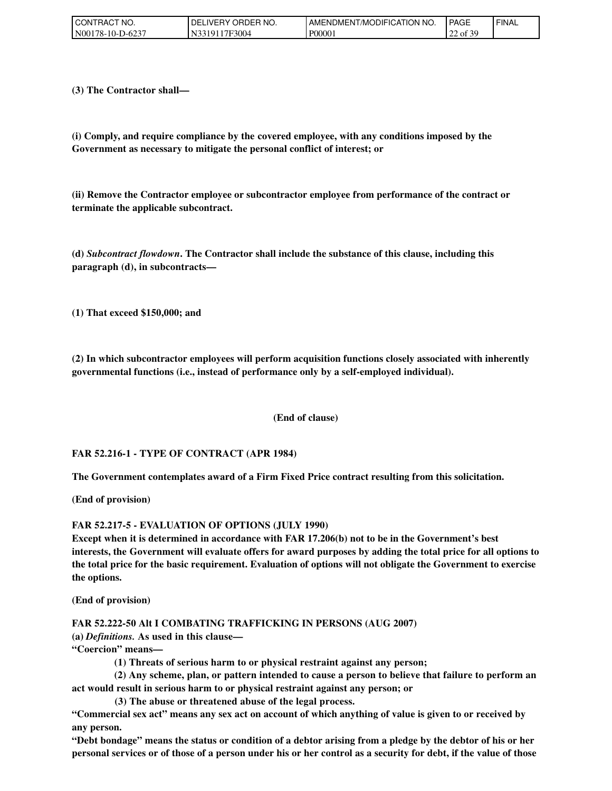| CONTRACT NO.     | ' ORDER NO.<br>DELIVERY O | <b>I AMENDMENT/MODIFICATION I</b><br>NO. | <b>PAGE</b>                | <b>FINAL</b> |
|------------------|---------------------------|------------------------------------------|----------------------------|--------------|
| N00178-10-D-6237 | 3319117F3004              | P00001                                   | f 30<br>$\sim$<br>22 of 39 |              |

**(3) The Contractor shall—**

**(i) Comply, and require compliance by the covered employee, with any conditions imposed by the Government as necessary to mitigate the personal conflict of interest; or**

**(ii) Remove the Contractor employee or subcontractor employee from performance of the contract or terminate the applicable subcontract.**

**(d)** *Subcontract flowdown***. The Contractor shall include the substance of this clause, including this paragraph (d), in subcontracts—**

**(1) That exceed \$150,000; and**

**(2) In which subcontractor employees will perform acquisition functions closely associated with inherently governmental functions (i.e., instead of performance only by a self-employed individual).**

**(End of clause)**

#### **FAR 52.216-1 - TYPE OF CONTRACT (APR 1984)**

**The Government contemplates award of a Firm Fixed Price contract resulting from this solicitation.**

**(End of provision)**

**FAR 52.217-5 - EVALUATION OF OPTIONS (JULY 1990)**

**Except when it is determined in accordance with FAR 17.206(b) not to be in the Government's best interests, the Government will evaluate offers for award purposes by adding the total price for all options to the total price for the basic requirement. Evaluation of options will not obligate the Government to exercise the options.**

**(End of provision)**

**FAR 52.222-50 Alt I COMBATING TRAFFICKING IN PERSONS (AUG 2007)**

**(a)** *Definitions.* **As used in this clause—**

**"Coercion" means—**

 **(1) Threats of serious harm to or physical restraint against any person;**

 **(2) Any scheme, plan, or pattern intended to cause a person to believe that failure to perform an act would result in serious harm to or physical restraint against any person; or**

 **(3) The abuse or threatened abuse of the legal process.**

**"Commercial sex act" means any sex act on account of which anything of value is given to or received by any person.**

**"Debt bondage" means the status or condition of a debtor arising from a pledge by the debtor of his or her personal services or of those of a person under his or her control as a security for debt, if the value of those**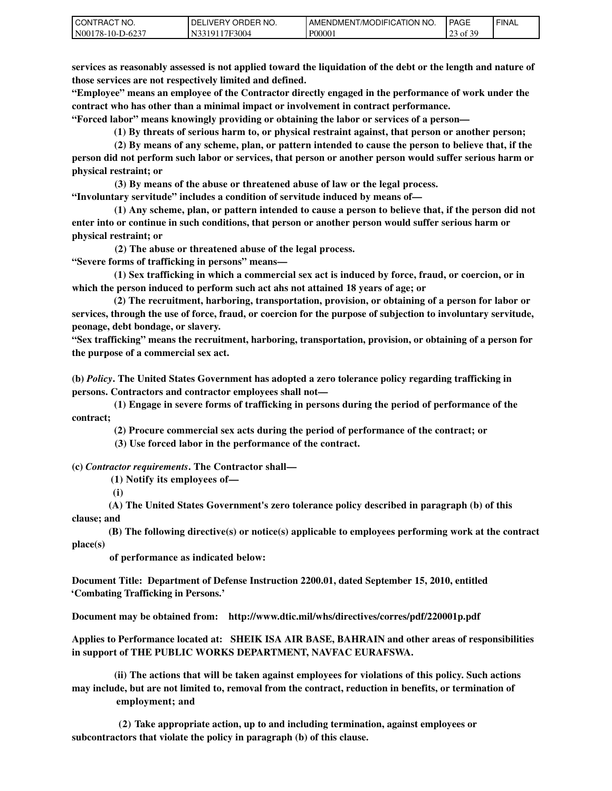| CT NO.<br>CON<br>`RAC        | NO.<br>ORDEP<br>DELI<br><b>IVERY</b><br>п. | ™MODIFICATION NO.<br>AME<br>NDMENT. ' | PAGE                                                                      | ' FINAL |
|------------------------------|--------------------------------------------|---------------------------------------|---------------------------------------------------------------------------|---------|
| N001<br>78-10-L<br>$10-62$ . | <sup>*7F3004</sup><br>101<br>-Ni           | P0000 <sub>1</sub>                    | $c \wedge c$<br>$\sim$<br>$^{\circ}$ O1<br>رے<br>$\overline{\phantom{a}}$ |         |

**services as reasonably assessed is not applied toward the liquidation of the debt or the length and nature of those services are not respectively limited and defined.**

**"Employee" means an employee of the Contractor directly engaged in the performance of work under the contract who has other than a minimal impact or involvement in contract performance.**

**"Forced labor" means knowingly providing or obtaining the labor or services of a person—**

 **(1) By threats of serious harm to, or physical restraint against, that person or another person;**

 **(2) By means of any scheme, plan, or pattern intended to cause the person to believe that, if the person did not perform such labor or services, that person or another person would suffer serious harm or physical restraint; or**

 **(3) By means of the abuse or threatened abuse of law or the legal process.**

**"Involuntary servitude" includes a condition of servitude induced by means of—**

 **(1) Any scheme, plan, or pattern intended to cause a person to believe that, if the person did not enter into or continue in such conditions, that person or another person would suffer serious harm or physical restraint; or**

 **(2) The abuse or threatened abuse of the legal process.**

**"Severe forms of trafficking in persons" means—**

 **(1) Sex trafficking in which a commercial sex act is induced by force, fraud, or coercion, or in which the person induced to perform such act ahs not attained 18 years of age; or**

 **(2) The recruitment, harboring, transportation, provision, or obtaining of a person for labor or services, through the use of force, fraud, or coercion for the purpose of subjection to involuntary servitude, peonage, debt bondage, or slavery.**

**"Sex trafficking" means the recruitment, harboring, transportation, provision, or obtaining of a person for the purpose of a commercial sex act.**

**(b)** *Policy***. The United States Government has adopted a zero tolerance policy regarding trafficking in persons. Contractors and contractor employees shall not—**

 **(1) Engage in severe forms of trafficking in persons during the period of performance of the contract;**

 **(2) Procure commercial sex acts during the period of performance of the contract; or**

 **(3) Use forced labor in the performance of the contract.**

**(c)** *Contractor requirements***. The Contractor shall—**

 **(1) Notify its employees of—**

 **(i)**

 **(A) The United States Government's zero tolerance policy described in paragraph (b) of this clause; and**

 **(B) The following directive(s) or notice(s) applicable to employees performing work at the contract place(s)** 

 **of performance as indicated below:**

**Document Title: Department of Defense Instruction 2200.01, dated September 15, 2010, entitled 'Combating Trafficking in Persons.'**

**Document may be obtained from: http://www.dtic.mil/whs/directives/corres/pdf/220001p.pdf** 

**Applies to Performance located at: SHEIK ISA AIR BASE, BAHRAIN and other areas of responsibilities in support of THE PUBLIC WORKS DEPARTMENT, NAVFAC EURAFSWA.** 

 **(ii) The actions that will be taken against employees for violations of this policy. Such actions may include, but are not limited to, removal from the contract, reduction in benefits, or termination of employment; and**

 **(2) Take appropriate action, up to and including termination, against employees or subcontractors that violate the policy in paragraph (b) of this clause.**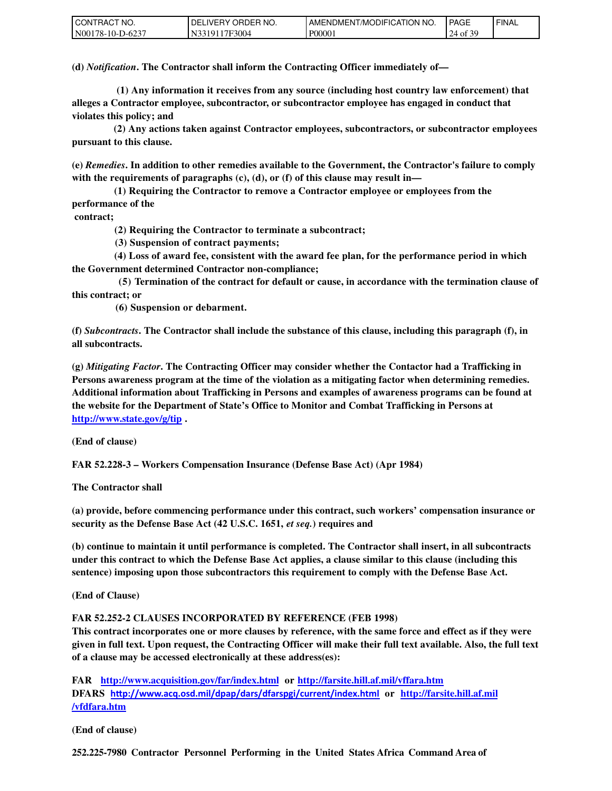| l CON 1<br>TRACT NO. | ' ORDER NO.<br>DELIVERY O | T/MODIFICATION<br>NO.<br><b>AMENDMEN</b> | <b>PAGE</b>                 | `FINAL |
|----------------------|---------------------------|------------------------------------------|-----------------------------|--------|
| N00178-10-D-6237     | 17F3004<br>. 331011       | P00001                                   | f 3C<br>24<br>$4.01 \times$ |        |

**(d)** *Notification***. The Contractor shall inform the Contracting Officer immediately of—**

 **(1) Any information it receives from any source (including host country law enforcement) that alleges a Contractor employee, subcontractor, or subcontractor employee has engaged in conduct that violates this policy; and**

 **(2) Any actions taken against Contractor employees, subcontractors, or subcontractor employees pursuant to this clause.**

**(e)** *Remedies***. In addition to other remedies available to the Government, the Contractor's failure to comply with the requirements of paragraphs (c), (d), or (f) of this clause may result in—**

 **(1) Requiring the Contractor to remove a Contractor employee or employees from the performance of the**

 **contract;**

 **(2) Requiring the Contractor to terminate a subcontract;** 

 **(3) Suspension of contract payments;** 

 **(4) Loss of award fee, consistent with the award fee plan, for the performance period in which the Government determined Contractor non-compliance;**

 **(5) Termination of the contract for default or cause, in accordance with the termination clause of this contract; or**

 **(6) Suspension or debarment.**

**(f)** *Subcontracts***. The Contractor shall include the substance of this clause, including this paragraph (f), in all subcontracts.**

**(g)** *Mitigating Factor***. The Contracting Officer may consider whether the Contactor had a Trafficking in Persons awareness program at the time of the violation as a mitigating factor when determining remedies. Additional information about Trafficking in Persons and examples of awareness programs can be found at the website for the Department of State's Office to Monitor and Combat Trafficking in Persons at [http://www.state.gov/g/tip .](http://www.state.gov/g/tip)**

**(End of clause)**

**FAR 52.228-3 – Workers Compensation Insurance (Defense Base Act) (Apr 1984)**

**The Contractor shall**

**(a) provide, before commencing performance under this contract, such workers' compensation insurance or security as the Defense Base Act (42 U.S.C. 1651,** *et seq.***) requires and**

**(b) continue to maintain it until performance is completed. The Contractor shall insert, in all subcontracts under this contract to which the Defense Base Act applies, a clause similar to this clause (including this sentence) imposing upon those subcontractors this requirement to comply with the Defense Base Act.**

**(End of Clause)**

**FAR 52.252-2 CLAUSES INCORPORATED BY REFERENCE (FEB 1998)**

**This contract incorporates one or more clauses by reference, with the same force and effect as if they were given in full text. Upon request, the Contracting Officer will make their full text available. Also, the full text of a clause may be accessed electronically at these address(es):** 

**FAR <http://www.acquisition.gov/far/index.html>or<http://farsite.hill.af.mil/vffara.htm> DFARS [hƩp://ǁǁǁ.aĐƋ.osd.ŵil/dpap/daƌs/dfaƌspgi/ĐuƌƌeŶt/iŶdedž.htŵl](http://www.acq.osd.mil/dpap/dars/dfarspgi/current/index.html) or [http://farsite.hill.af.mil](http://farsite.hill.af.mil/vfdfara.htm) /vfdfara.htm**

**(End of clause)**

**252.225-7980 Contractor Personnel Performing in the United States Africa Command Area of**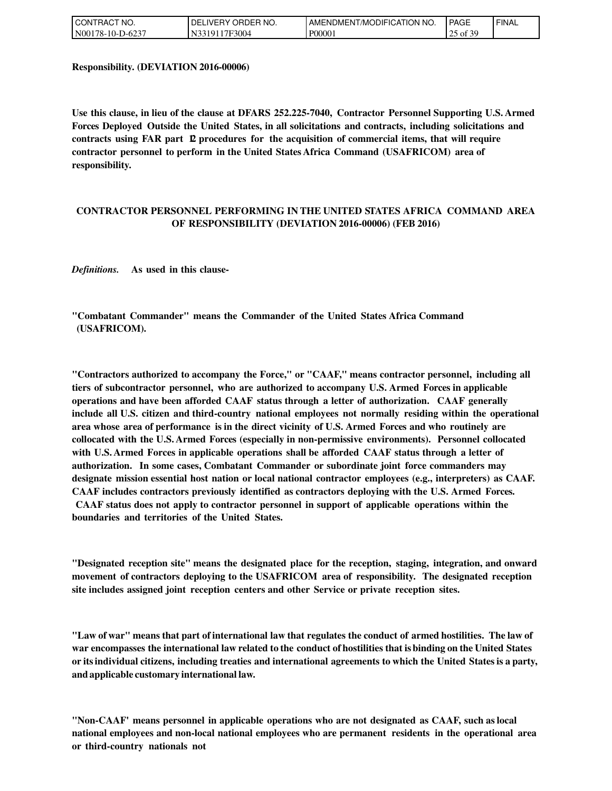| <b>CONT</b><br>TRACT NO. | ' ORDER NO.<br>DELIVERY O | T/MODIFICATION<br>`NO.<br><b>AMENDMEN</b> | <b>PAGE</b>                          | ' FINAL |
|--------------------------|---------------------------|-------------------------------------------|--------------------------------------|---------|
| N00178-10-D-6237         | `'3319117F3004            | P00001                                    | .f 3C<br>ኅፍ<br>$\sim$ of $\ge$<br>رے |         |

**Responsibility. (DEVIATION 2016-00006)**

**Use this clause, in lieu of the clause at DFARS 252.225-7040, Contractor Personnel Supporting U.S. Armed Forces Deployed Outside the United States, in all solicitations and contracts, including solicitations and contracts using FAR part 12 procedures for the acquisition of commercial items, that will require contractor personnel to perform in the United States Africa Command (USAFRICOM) area of responsibility.**

#### **CONTRACTOR PERSONNEL PERFORMING IN THE UNITED STATES AFRICA COMMAND AREA OF RESPONSIBILITY (DEVIATION 2016-00006) (FEB 2016)**

*Definitions.* **As used in this clause-**

**"Combatant Commander" means the Commander of the United States Africa Command (USAFRICOM).**

**"Contractors authorized to accompany the Force," or "CAAF," means contractor personnel, including all tiers of subcontractor personnel, who are authorized to accompany U.S. Armed Forces in applicable operations and have been afforded CAAF status through a letter of authorization. CAAF generally include all U.S. citizen and third-country national employees not normally residing within the operational area whose area of performance is in the direct vicinity of U.S. Armed Forces and who routinely are collocated with the U.S. Armed Forces (especially in non-permissive environments). Personnel collocated with U.S. Armed Forces in applicable operations shall be afforded CAAF status through a letter of authorization. In some cases, Combatant Commander or subordinate joint force commanders may designate mission essential host nation or local national contractor employees (e.g., interpreters) as CAAF. CAAF includes contractors previously identified as contractors deploying with the U.S. Armed Forces. CAAF status does not apply to contractor personnel in support of applicable operations within the boundaries and territories of the United States.**

**"Designated reception site" means the designated place for the reception, staging, integration, and onward movement of contractors deploying to the USAFRICOM area of responsibility. The designated reception site includes assigned joint reception centers and other Service or private reception sites.**

"Law of war" means that part of international law that regulates the conduct of armed hostilities. The law of **war encompasses the international law related to the conduct ofhostilities that isbinding onthe United States or itsindividual citizens, including treaties and international agreements to which the United Statesis aparty, andapplicable customary internationallaw.**

**"Non-CAAF' means personnel in applicable operations who are not designated as CAAF, such as local national employees and non-local national employees who are permanent residents in the operational area or third-country nationals not**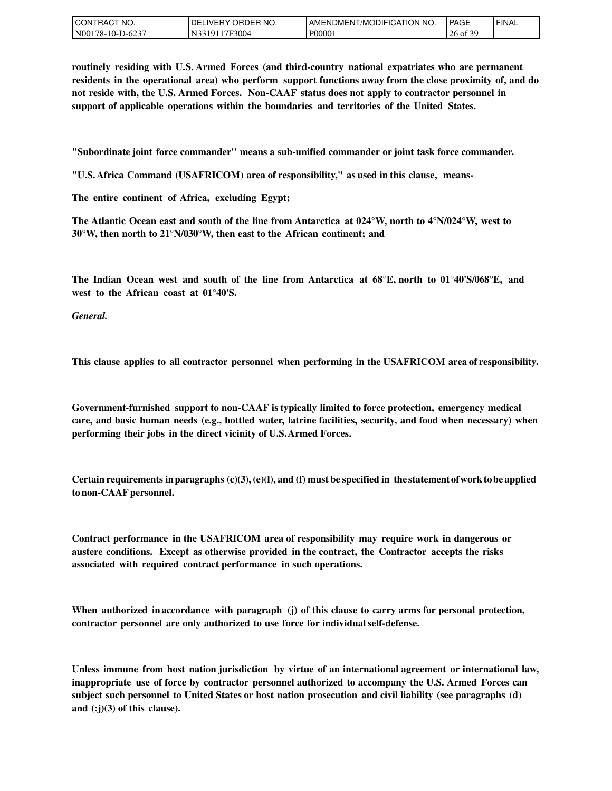| l CON<br>`CT NO.<br>'RAC  | `ER NO.<br>ORDEP<br>DEL<br>_IVERY | ™MODIFICATION NO.<br>AMENDMENT | <b>PAGE</b>                      | ' FINAL |
|---------------------------|-----------------------------------|--------------------------------|----------------------------------|---------|
| N00<br>.78-10-1<br>-D-623 | 17F3004<br>. IN T                 | P0000                          | $c \wedge c$<br>of $\beta$<br>∠∪ |         |

**routinely residing with U.S. Armed Forces (and third-country national expatriates who are permanent residents in the operational area) who perform support functions away from the close proximity of, and do not reside with, the U.S. Armed Forces. Non-CAAF status does not apply to contractor personnel in support of applicable operations within the boundaries and territories of the United States.**

**"Subordinate joint force commander" means a sub-unified commander or joint task force commander.**

**"U.S. Africa Command (USAFRICOM) area of responsibility," asused inthis clause, means-**

**The entire continent of Africa, excluding Egypt;**

**The Atlantic Ocean east and south of the line from Antarctica at 024°W, north to 4°N/024°W, west to 30°W, then north to 21°N/030°W, then east to the African continent; and**

**The Indian Ocean west and south of the line from Antarctica at 68°E, north to 01°40'S/068°E, and west to the African coast at 01°40'S.**

*General.*

**This clause applies to all contractor personnel when performing in the USAFRICOM area of responsibility.**

**Government-furnished support to non-CAAF is typically limited to force protection, emergency medical care, and basic human needs (e.g., bottled water, latrine facilities, security, and food when necessary) when performing their jobs in the direct vicinity of U.S.Armed Forces.**

**Certain requirements in paragraphs**  $(c)(3)$ ,  $(e)(1)$ , and  $(f)$  must be specified in the statement of work to be applied **tonon-CAAFpersonnel.**

**Contract performance in the USAFRICOM area of responsibility may require work in dangerous or austere conditions. Except as otherwise provided in the contract, the Contractor accepts the risks associated with required contract performance in such operations.**

**When authorized inaccordance with paragraph (j) of this clause to carry arms for personal protection, contractor personnel are only authorized to use force for individualself-defense.**

**Unless immune from host nation jurisdiction by virtue of an international agreement or international law, inappropriate use of force by contractor personnel authorized to accompany the U.S. Armed Forces can subject such personnel to United States or host nation prosecution and civil liability (see paragraphs (d) and (:j)(3) of this clause).**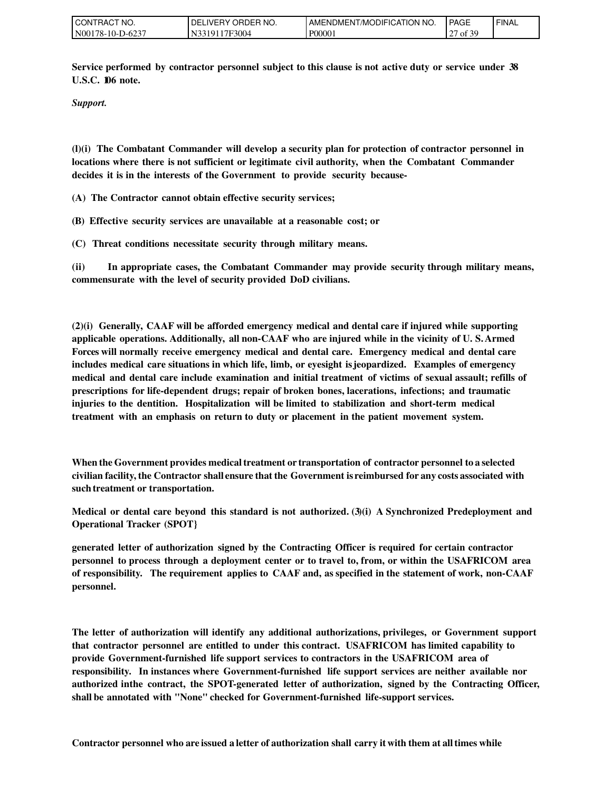| I CON'<br><b>ITRACT NO.</b> | ORDER NO.<br>DELIVERY ' | <b>LAMENDMENT/MODIFICATION</b><br>NO. | <b>PAGE</b>                     | ' FINAL |
|-----------------------------|-------------------------|---------------------------------------|---------------------------------|---------|
| N00178-10-D-6237            | 17F3004<br>33191        | P00001                                | f 30<br>$\sim$<br>$\sigma$ of 3 |         |

**Service performed by contractor personnel subject to this clause is not active duty or service under 38 U.S.C. 106 note.**

*Support.*

**(l)(i) The Combatant Commander will develop a security plan for protection of contractor personnel in locations where there is not sufficient or legitimate civil authority, when the Combatant Commander decides it is in the interests of the Government to provide security because-**

**(A) The Contractor cannot obtain effective security services;**

**(B) Effective security services are unavailable at a reasonable cost; or**

**(C) Threat conditions necessitate security through military means.**

**(ii) In appropriate cases, the Combatant Commander may provide security through military means, commensurate with the level of security provided DoD civilians.**

**(2)(i) Generally, CAAF will be afforded emergency medical and dental care if injured while supporting applicable operations. Additionally, all non-CAAF who are injured while in the vicinity of U. S. Armed Forces will normally receive emergency medical and dental care. Emergency medical and dental care includes medical care situations in which life, limb, or eyesight isjeopardized. Examples of emergency medical and dental care include examination and initial treatment of victims of sexual assault; refills of prescriptions for life-dependent drugs; repair of broken bones, lacerations, infections; and traumatic injuries to the dentition. Hospitalization will be limited to stabilization and short-term medical treatment with an emphasis on return to duty or placement in the patient movement system.**

**Whenthe Governmentprovides medicaltreatment or transportation of contractorpersonnel to a selected civilianfacility, the Contractor shall ensure that the Government is reimbursed for any costs associated with suchtreatment or transportation.**

**Medical or dental care beyond this standard is not authorized. (3)(i) A Synchronized Predeployment and Operational Tracker (SPOT}**

**generated letter of authorization signed by the Contracting Officer is required for certain contractor personnel to process through a deployment center or to travel to, from, or within the USAFRICOM area of responsibility. The requirement applies to CAAF and, as specified in the statement of work, non-CAAF personnel.**

**The letter of authorization will identify any additional authorizations, privileges, or Government support that contractor personnel are entitled to under this contract. USAFRICOM has limited capability to provide Government-furnished life support services to contractors in the USAFRICOM area of responsibility. In instances where Government-furnished life support services are neither available nor authorized inthe contract, the SPOT-generated letter of authorization, signed by the Contracting Officer, shallbe annotated with "None" checked for Government-furnished life-support services.**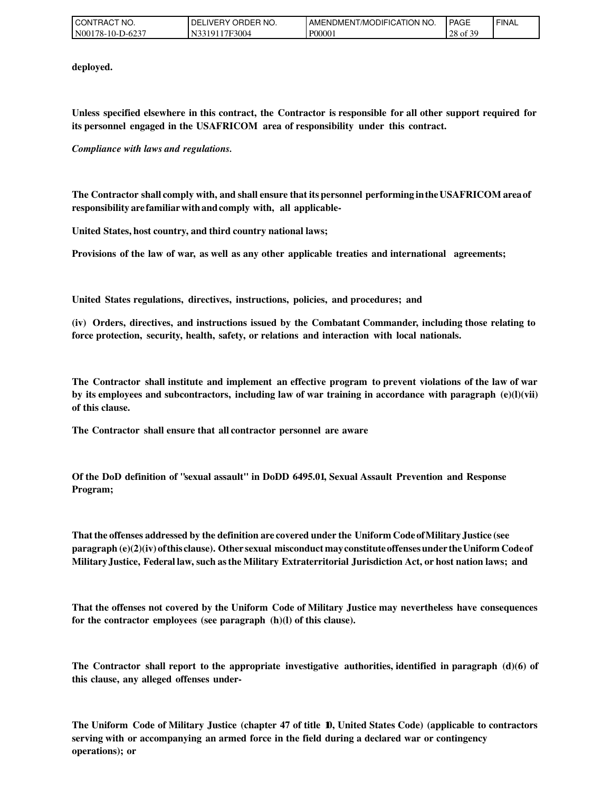| <b>CONT</b><br>TRACT NO. | ORDER NO.<br>DELIVERY O | T/MODIFICATION<br>'NO.<br><b>AMENDMEN</b> | PAGE                                         | ' FINAL |
|--------------------------|-------------------------|-------------------------------------------|----------------------------------------------|---------|
| N00178-10-D-6237         | N3319117F3004           | P00001                                    | f 2C<br>28<br>$\mathbf{X}$ of $\mathbf{S}$ . |         |

**deployed.**

**Unless specified elsewhere in this contract, the Contractor is responsible for all other support required for its personnel engaged in the USAFRICOM area of responsibility under this contract.**

*Compliance with laws and regulations.*

**The Contractor shall comply with, andshall ensure that itspersonnel performing intheUSAFRICOM areaof responsibility arefamiliarwithandcomply with, all applicable-**

**United States,host country, andthird country national laws;**

**Provisions of the law of war, as well as any other applicable treaties and international agreements;**

**United States regulations, directives, instructions, policies, and procedures; and**

**(iv) Orders, directives, and instructions issued by the Combatant Commander, including those relating to force protection, security, health, safety, or relations and interaction with local nationals.**

**The Contractor shall institute and implement an effective program to prevent violations of the law of war by its employees and subcontractors, including law of war training in accordance with paragraph (e)(l)(vii) of this clause.**

**The Contractor shall ensure that all contractor personnel are aware**

**Of the DoD definition of "sexual assault" in DoDD 6495.01, Sexual Assault Prevention and Response Program;**

**That the offenses addressedby thedefinition are coveredunder the Uniform CodeofMilitary Justice (see paragraph(e)(2)(iv) ofthisclause). Other sexual misconduct mayconstituteoffensesunder theUniform Codeof MilitaryJustice, Federallaw, suchasthe Military Extraterritorial Jurisdiction Act, orhost nation laws; and**

**That the offenses not covered by the Uniform Code of Military Justice may nevertheless have consequences for the contractor employees (see paragraph (h)(l) of this clause).**

**The Contractor shall report to the appropriate investigative authorities, identified in paragraph (d)(6) of this clause, any alleged offenses under-**

**The Uniform Code of Military Justice (chapter 47 of title 10, United States Code) (applicable to contractors serving with or accompanying an armed force in the field during a declared war or contingency operations); or**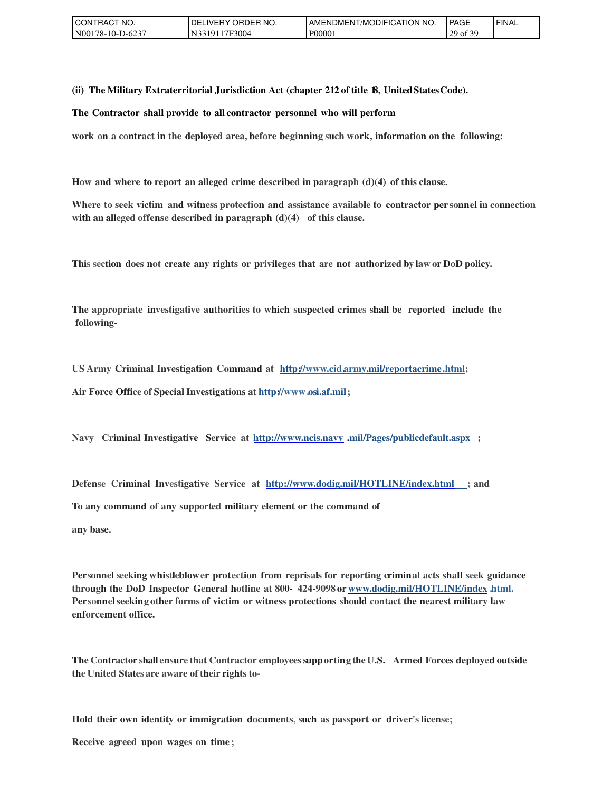| CONTRACT NO.     | ' ORDER NO.<br>DELI<br>_IVERY_ | AMENDMENT/MODIFICATION<br>'NO. | <b>PAGE</b>        | ' FINAL |
|------------------|--------------------------------|--------------------------------|--------------------|---------|
| N00178-10-D-6237 | 17F3004<br>.331911             | P00001                         | f 30<br>20<br>ot 3 |         |

**(ii) The Military Extraterritorial Jurisdiction Act (chapter 212 of title 18, UnitedStatesCode).**

**The Contractor shall provide to all contractor personnel who will perform**

**work on a contract in the deployed area, before beginning such work, information on the following:**

**How and where to report an alleged crime described in paragraph (d)(4) of this clause.**

**Where to seek victim and witnessprotection and assistance available to contractor per sonnel in connection with an alleged offense described in paragraph (d)(4) of this clause.**

**This section does not create any rights or privileges that are not authorizedby law or DoD policy.**

**The appropriate investigative authorities to which suspected crimes shall be reported include the following-**

**US Army Criminal Investigation Command at http://www.cid.army.mil/reportacrime.html;**

**Air Force Office ofSpecial Investigations at http://www.osi.af.mil;**

**Navy Criminal Investigative Service at [http://www.ncis.navv](http://www.ncis.navv/) .mil/Pages/publicdefault.aspx ;**

**Defense Criminal Investigative Service at <http://www.dodig.mil/HOTLINE/index.html>; and**

**To any command of any supported military element or the command of**

**anybase.**

**Personnel seeking whistleblower protection from reprisals for reporting criminal acts shall seek guidance through the DoD Inspector General hotline at 800- 424-9098 or [www.dodig.mil/HOTLINE/index](http://www.dodig.mil/HOTLINE/index) .html. Personnelseeking other forms of victim or witness protections should contact the nearest military law enforcement office.**

**The Contractor shall ensure that Contractor employeessupporting theU.S. Armed Forces deployedoutside the United States are aware of their rights to-**

**Hold their own identity or immigration documents, such as passport or driver's license;**

**Receive agreed upon wages on time ;**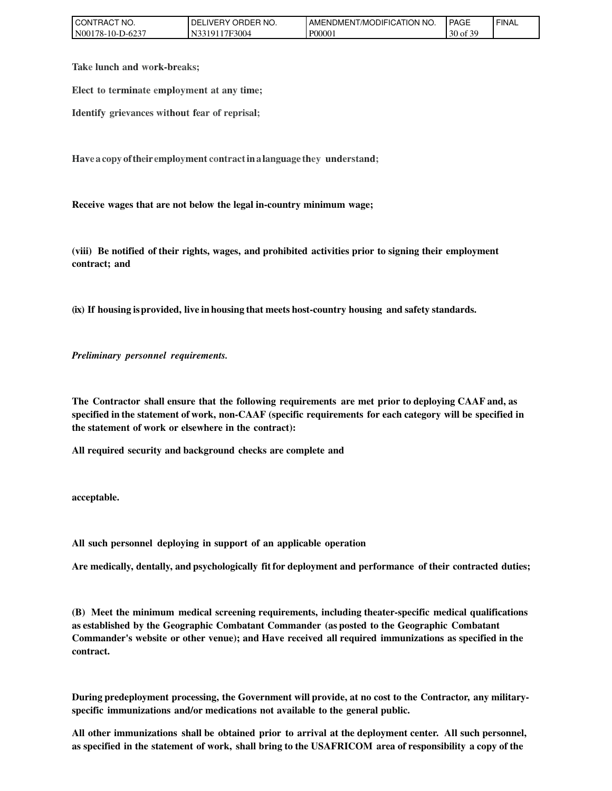| l CON 1<br>FRACT NO. | ORDER NO.<br>DELIVERY (         | <b>I AMENDMENT/MODIFICATION NO.</b> | <b>PAGE</b>          | ' FINAL |
|----------------------|---------------------------------|-------------------------------------|----------------------|---------|
| N00178-10-D-6237     | <sup>1</sup> 7F3004<br>N331911. | P00001                              | f 30<br>$30$ of $3'$ |         |

**Take lunch and work-breaks;**

**Elect to terminate employment at any time;**

**Identify grievances without fear of reprisal;**

**Have a copy oftheiremployment contractinalanguage they understand;**

**Receive wages that are not below the legal in-country minimum wage;**

**(viii) Be notified of their rights, wages, and prohibited activities prior to signing their employment contract; and**

**(ix) If housing isprovided, live inhousing that meetshost-country housing and safety standards.**

*Preliminary personnel requirements.*

**The Contractor shall ensure that the following requirements are met prior to deploying CAAF and, as specified inthe statement of work, non-CAAF (specific requirements for each category will be specified in the statement of work or elsewhere in the contract):**

**All required security and background checks are complete and**

**acceptable.**

**All such personnel deploying in support of an applicable operation**

**Are medically, dentally, andpsychologically fit for deployment and performance of their contracted duties;**

**(B) Meet the minimum medical screening requirements, including theater-specific medical qualifications as established by the Geographic Combatant Commander (asposted to the Geographic Combatant Commander's website or other venue); and Have received all required immunizations as specified in the contract.**

During predeployment processing, the Government will provide, at no cost to the Contractor, any military**specific immunizations and/or medications not available to the general public.**

**All other immunizations shall be obtained prior to arrival at the deployment center. All such personnel,** as specified in the statement of work, shall bring to the USAFRICOM area of responsibility a copy of the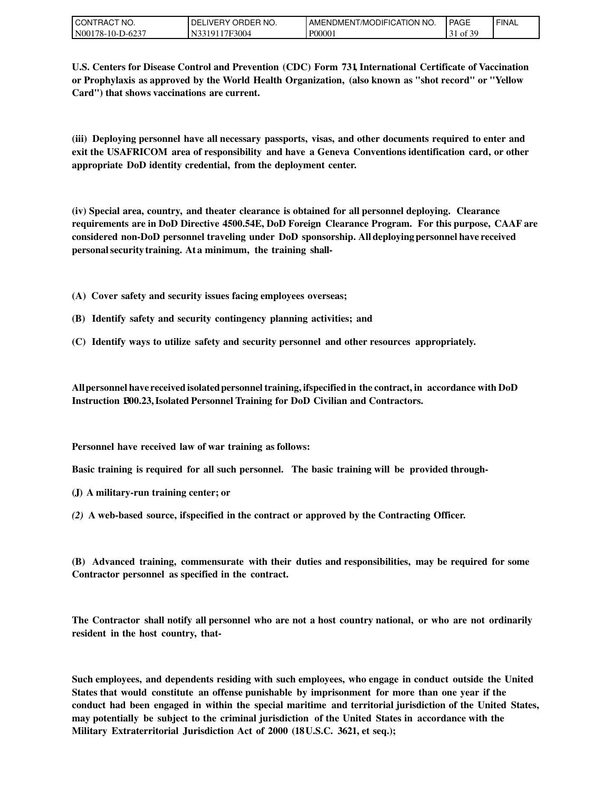| TRACT NO.<br>I CONT    | ORDER NO.<br><b>DELIVERY</b> | T/MODIFICATION<br>'NO.<br><b>AMENDMEN</b> | PAGE                  | <b>FINAL</b> |
|------------------------|------------------------------|-------------------------------------------|-----------------------|--------------|
| N00178-10-L<br>-D-6237 | 17F3004<br>.3101             | P00001                                    | f 3C<br>' of 5.<br>31 |              |

**U.S. Centers for Disease Control and Prevention (CDC) Form 731, International Certificate of Vaccination or Prophylaxis as approved by the World Health Organization, (also known as "shot record" or ''Yellow Card") that shows vaccinations are current.**

**(iii) Deploying personnel have all necessary passports, visas, and other documents required to enter and exit the USAFRICOM area of responsibility and have a Geneva Conventions identification card, or other appropriate DoD identity credential, from the deployment center.**

**(iv) Special area, country, and theater clearance is obtained for all personnel deploying. Clearance requirements are in DoD Directive 4500.54E, DoD Foreign Clearance Program. For this purpose, CAAF are considered non-DoD personnel traveling under DoD sponsorship. Alldeployingpersonnelhave received personalsecurity training. At a minimum, the training shall-**

- **(A) Cover safety and security issues facing employees overseas;**
- **(B) Identify safety and security contingency planning activities; and**
- **(C) Identify ways to utilize safety and security personnel and other resources appropriately.**

**Allpersonnelhave receivedisolatedpersonnel training,ifspecifiedin the contract,in accordance with DoD Instruction 1300.23,Isolated Personnel Training for DoD Civilian and Contractors.**

**Personnel have received law of war training as follows:**

**Basic training is required for all such personnel. The basic training will be provided through-**

- **(J) A military-run training center; or**
- *(2)* **A web-based source, ifspecified in the contract or approved by the Contracting Officer.**

**(B) Advanced training, commensurate with their duties and responsibilities, may be required for some Contractor personnel as specified in the contract.**

**The Contractor shall notify all personnel who are not a host country national, or who are not ordinarily resident in the host country, that-**

**Such employees, and dependents residing with such employees, who engage in conduct outside the United States that would constitute an offense punishable by imprisonment for more than one year if the conduct had been engaged in within the special maritime and territorial jurisdiction of the United States, may potentially be subject to the criminal jurisdiction of the United States in accordance with the Military Extraterritorial Jurisdiction Act of 2000 (18U.S.C. 3621, et seq.);**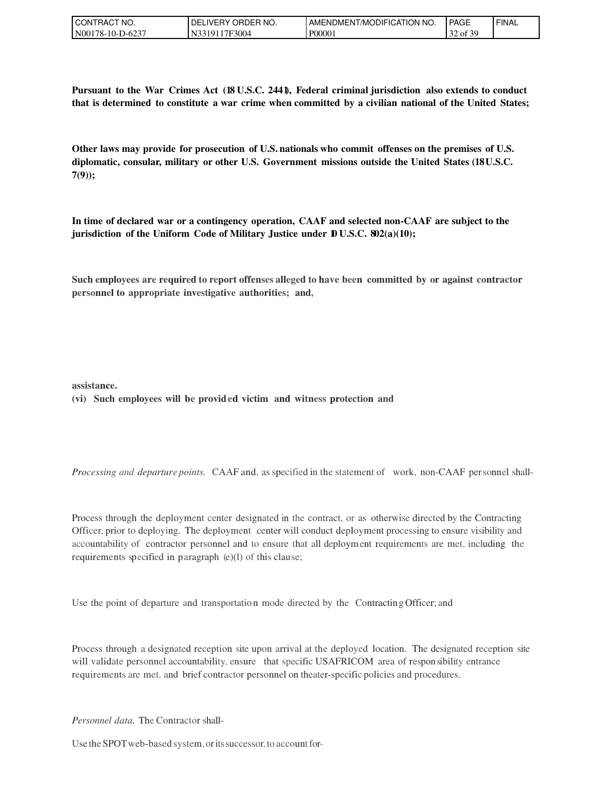| TRACT NO.<br><b>CON</b> | ORDER NO.<br>DELI<br>_IVERY_    | ICATION<br>'NO.<br>. MODIFIC<br>AMENDMEN | <b>PAGE</b>                                          | ' FINAL |
|-------------------------|---------------------------------|------------------------------------------|------------------------------------------------------|---------|
| N0017<br>'78-10-D-623   | 17F3004<br>$NT2^{\sim}$<br>3101 | P00001                                   | $c \cap c$<br>$\cap$<br>$\sigma$ of $\sigma$<br>ے 3⊤ |         |

**Pursuant to the War Crimes Act (18 U.S.C. 2441), Federal criminal jurisdiction also extends to conduct that is determined to constitute a war crime when committed by a civilian national of the United States;**

**Other laws may provide for prosecution of U.S.nationals who commit offenses on the premises of U.S. diplomatic, consular, military or other U.S. Government missions outside the United States (18U.S.C. 7(9));**

**In time of declared war or a contingency operation, CAAF and selected non-CAAF are subject to the jurisdiction of the Uniform Code of Military Justice under 10 U.S.C. 802(a)(10);**

**Such employees are required to report offenses alleged to have been committed by or against contractor personnel to appropriate investigative authorities; and,**

**assistance.**

#### **(vi) Such employees will be provided victim and witness protection and**

*Processing and departure points.* CAAF and, as specified in the statement of work, non-CAAF personnel shall-

Process through the deployment center designated in the contract, or as otherwise directed by the Contracting Officer, prior to deploying. The deployment center will conduct deployment processing to ensure visibility and accountability of contractor personnel and to ensure that all deployment requirements are met, including the requirements specified in paragraph (e)(l) of this clause;

Use the point of departure and transportatio n mode directed by the Contracting Officer; and

Process through a designated reception site upon arrival at the deployed location. The designated reception site will validate personnel accountability, ensure that specific USAFRICOM area of responsibility entrance requirements are met, and brief contractor personnel on theater-specific policies and procedures.

*Personnel data.* The Contractor shall-

Use the SPOT web-based system, or its successor, to account for-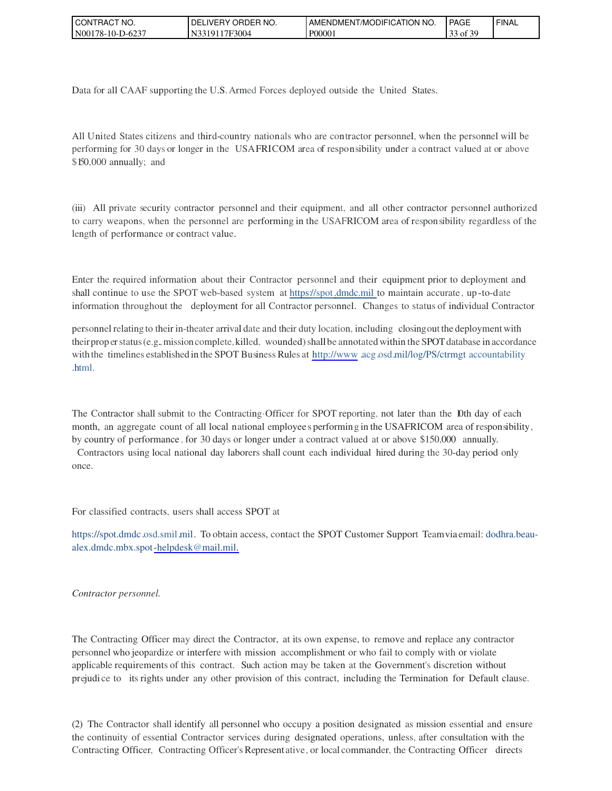| CT NO.<br>CON<br><b>HAC</b>             | `ER NO.<br>DEL<br>JRDEF<br>IVERY.<br>ີ | ' NO.<br>ICATION<br>T/MODIFIC<br>AMENDMEN | <b>PAGE</b>                               | ' FINAL |
|-----------------------------------------|----------------------------------------|-------------------------------------------|-------------------------------------------|---------|
| N <sub>00</sub> 1<br>78-10-L<br>$11-62$ | 17F3004                                | P0000 <sub>1</sub>                        | c oc<br>$\sim$<br>$_{\text{ot}}$ 5<br>ر ر |         |

Data for all CAAF supporting the U.S.Armed Forces deployed outside the United States.

All United States citizens and third-country nationals who are contractor personnel, when the personnel will be performing for 30 days or longer in the USAFRICOM area of responsibility under a contract valued at or above \$150,000 annually; and

(iii) All private security contractor personnel and their equipment, and all other contractor personnel authorized to carry weapons, when the personnel are performing in the USAFRICOM area of responsibility regardless of the length of performance or contract value.

Enter the required information about their Contractor personnel and their equipment prior to deployment and shall continue to use the SPOT web-based system at https://spot.dmdc.mil to maintain accurate, up-to-date information throughout the deployment for all Contractor personnel. Changes to status of individual Contractor

personnel relating to their in-theater arrival date and their duty location,including closingoutthe deployment with theirprop er status (e.g., mission complete, killed, wounded) shall be annotated within the SPOT database in accordance with the timelines established in the SPOT Business Rules at [http://www](http://www/).acg.osd.mil/log/PS/ctrmgt accountability .html.

The Contractor shall submit to the Contracting·Officer for SPOT reporting, not later than the 10th day of each month, an aggregate count of all local national employee s performing in the USAFRICOM area of responsibility, by country of performance , for 30 days or longer under a contract valued at or above \$150,000 annually.

Contractors using local national day laborers shall count each individual hired during the 30-day period only once.

For classified contracts, users shall access SPOT at

https://spot.dmdc.osd.smil.mil. To obtain access, contact the SPOT Customer Support Teamvia email: dodhra.beaualex.dmdc.mbx.spo[t-helpdesk@mail.mil.](mailto:-helpdesk@mail.mil)

#### *Contractor personnel.*

The Contracting Officer may direct the Contractor, at its own expense, to remove and replace any contractor personnel who jeopardize or interfere with mission accomplishment or who fail to comply with or violate applicable requirements of this contract. Such action may be taken at the Government's discretion without prejudi ce to its rights under any other provision of this contract, including the Termination for Default clause.

(2) The Contractor shall identify all personnel who occupy a position designated as mission essential and ensure the continuity of essential Contractor services during designated operations, unless, after consultation with the Contracting Officer, Contracting Officer's Represent ative, or local commander, the Contracting Officer directs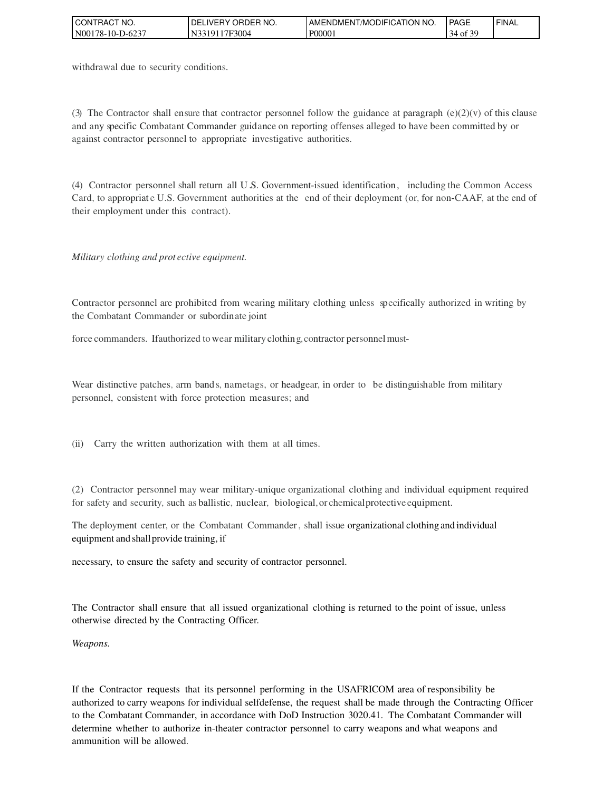| CT NO.<br>l CON<br><b>HAC</b> | `ER NO.<br>DEL<br>ORDEF<br>_IVERY_ | ICATION NO<br>'/Modific<br>AMENDMENT | <b>PAGE</b>      | ' FINAL |
|-------------------------------|------------------------------------|--------------------------------------|------------------|---------|
| N00<br>$78-10-$<br>-D-623     | '7F3004                            | P0000                                | c oo<br>O1.<br>◡ |         |

withdrawal due to security conditions.

(3) The Contractor shall ensure that contractor personnel follow the guidance at paragraph (e)(2)(v) of this clause and any specific Combatant Commander guidance on reporting offenses alleged to have been committed by or against contractor personnel to appropriate investigative authorities.

(4) Contractor personnel shall return all U .S. Government-issued identification, including the Common Access Card, to appropriat e U.S. Government authorities at the end of their deployment (or, for non-CAAF, at the end of their employment under this contract).

*Military clothing and prot ective equipment.*

Contractor personnel are prohibited from wearing military clothing unless specifically authorized in writing by the Combatant Commander or subordinate joint

force commanders. Ifauthorized to wear military clothing, contractor personnel must-

Wear distinctive patches, arm band s, nametags, or headgear, in order to be distinguishable from military personnel, consistent with force protection measures; and

(ii) Carry the written authorization with them at all times.

(2) Contractor personnel may wear military-unique organizational clothing and individual equipment required for safety and security, such as ballistic, nuclear, biological,or chemicalprotective equipment.

The deployment center, or the Combatant Commander, shall issue organizational clothing and individual equipment and shall provide training, if

necessary, to ensure the safety and security of contractor personnel.

The Contractor shall ensure that all issued organizational clothing is returned to the point of issue, unless otherwise directed by the Contracting Officer.

*Weapons.*

If the Contractor requests that its personnel performing in the USAFRICOM area of responsibility be authorized to carry weapons for individual selfdefense, the request shall be made through the Contracting Officer to the Combatant Commander, in accordance with DoD Instruction 3020.41. The Combatant Commander will determine whether to authorize in-theater contractor personnel to carry weapons and what weapons and ammunition will be allowed.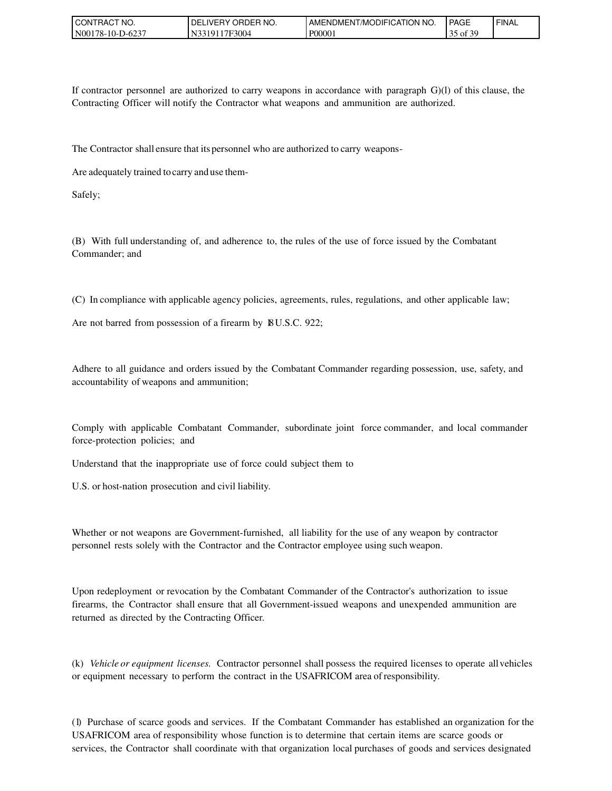| TRACT NO.<br>CONT | ' ORDER NO.<br>DELI<br>IVERY | AMENDMENT/MODIFICATION<br>' NO. | <b>PAGE</b>                       | `FINAL |
|-------------------|------------------------------|---------------------------------|-----------------------------------|--------|
| N00178-10-D-623   | 17F3004<br>3191              | P0000 <sub>1</sub>              | .f 2C<br>25<br>of $\beta$<br>ر_ر_ |        |

If contractor personnel are authorized to carry weapons in accordance with paragraph G)(l) of this clause, the Contracting Officer will notify the Contractor what weapons and ammunition are authorized.

The Contractor shall ensure that its personnel who are authorized to carry weapons-

Are adequately trained to carry and use them-

Safely;

(B) With full understanding of, and adherence to, the rules of the use of force issued by the Combatant Commander; and

(C) In compliance with applicable agency policies, agreements, rules, regulations, and other applicable law;

Are not barred from possession of a firearm by 18U.S.C. 922;

Adhere to all guidance and orders issued by the Combatant Commander regarding possession, use, safety, and accountability of weapons and ammunition;

Comply with applicable Combatant Commander, subordinate joint force commander, and local commander force-protection policies; and

Understand that the inappropriate use of force could subject them to

U.S. or host-nation prosecution and civil liability.

Whether or not weapons are Government-furnished, all liability for the use of any weapon by contractor personnel rests solely with the Contractor and the Contractor employee using such weapon.

Upon redeployment or revocation by the Combatant Commander of the Contractor's authorization to issue firearms, the Contractor shall ensure that all Government-issued weapons and unexpended ammunition are returned as directed by the Contracting Officer.

(k) *Vehicle or equipment licenses.* Contractor personnel shall possess the required licenses to operate allvehicles or equipment necessary to perform the contract in the USAFRICOM area ofresponsibility.

(1) Purchase of scarce goods and services. If the Combatant Commander has established an organization for the USAFRICOM area of responsibility whose function is to determine that certain items are scarce goods or services, the Contractor shall coordinate with that organization local purchases of goods and services designated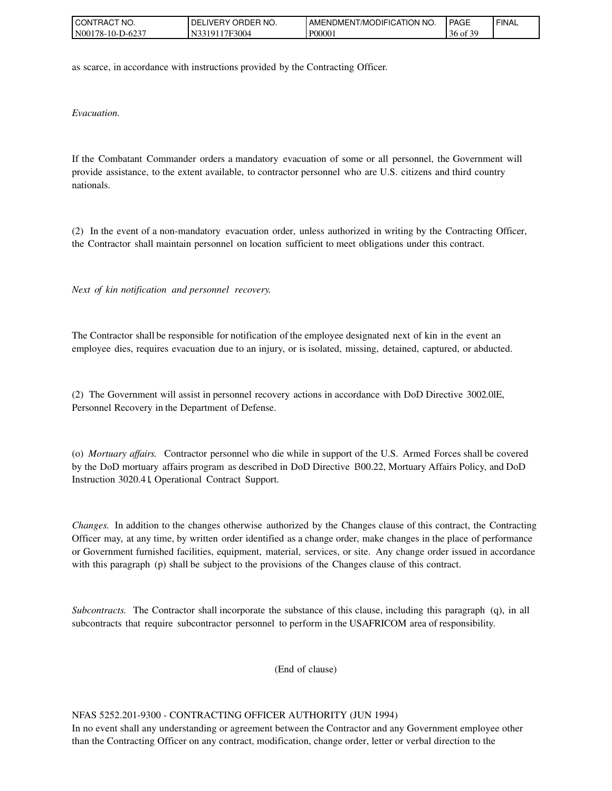| I CON <sup>-</sup><br>TRACT NO. | ' ORDER NO.<br><b>DELIVERY</b> | AMENDMENT/MODIFICATION NO. | <b>PAGE</b>       | ' FINAL |
|---------------------------------|--------------------------------|----------------------------|-------------------|---------|
| N00178-10-D-6237                | 17F3004<br>J33101              | P0000 <sub>1</sub>         | .f 20<br>36 of 39 |         |

as scarce, in accordance with instructions provided by the Contracting Officer.

*Evacuation.*

If the Combatant Commander orders a mandatory evacuation of some or all personnel, the Government will provide assistance, to the extent available, to contractor personnel who are U.S. citizens and third country nationals.

(2) In the event of a non-mandatory evacuation order, unless authorized in writing by the Contracting Officer, the Contractor shall maintain personnel on location sufficient to meet obligations under this contract.

*Next of kin notification and personnel recovery.*

The Contractor shall be responsible for notification of the employee designated next of kin in the event an employee dies, requires evacuation due to an injury, or is isolated, missing, detained, captured, or abducted.

(2) The Government will assist in personnel recovery actions in accordance with DoD Directive 3002.0lE, Personnel Recovery in the Department of Defense.

(o) *Mortuary affairs.* Contractor personnel who die while in support of the U.S. Armed Forces shall be covered by the DoD mortuary affairs program as described in DoD Directive 1300.22, Mortuary Affairs Policy, and DoD Instruction 3020.41, Operational Contract Support.

*Changes.* In addition to the changes otherwise authorized by the Changes clause of this contract, the Contracting Officer may, at any time, by written order identified as a change order, make changes in the place of performance or Government furnished facilities, equipment, material, services, or site. Any change order issued in accordance with this paragraph (p) shall be subject to the provisions of the Changes clause of this contract.

*Subcontracts.* The Contractor shall incorporate the substance of this clause, including this paragraph (q), in all subcontracts that require subcontractor personnel to perform in the USAFRICOM area of responsibility.

(End of clause)

#### NFAS 5252.201-9300 - CONTRACTING OFFICER AUTHORITY (JUN 1994)

In no event shall any understanding or agreement between the Contractor and any Government employee other than the Contracting Officer on any contract, modification, change order, letter or verbal direction to the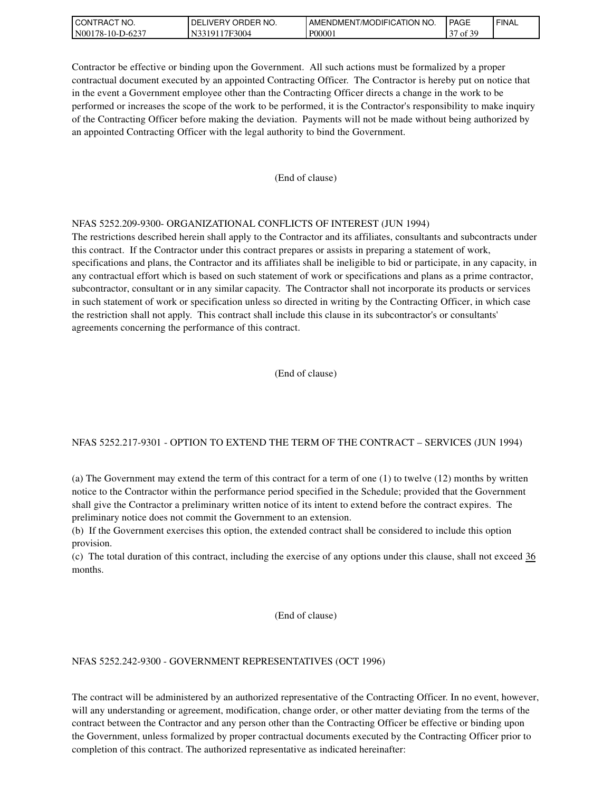| I CON <sup>-</sup><br>TRACT NO. | ' ORDER NO.<br>DELIVERY O | AMENDMENT/MODIFICATION NO. | PAGE                                      | ' FINAL |
|---------------------------------|---------------------------|----------------------------|-------------------------------------------|---------|
| N00178-10-D-6237                | 17F3004<br>33191          | P0000 <sub>1</sub>         | 5£ 20<br>$\sim$<br>$\degree$ of $\circ$ . |         |

Contractor be effective or binding upon the Government. All such actions must be formalized by a proper contractual document executed by an appointed Contracting Officer. The Contractor is hereby put on notice that in the event a Government employee other than the Contracting Officer directs a change in the work to be performed or increases the scope of the work to be performed, it is the Contractor's responsibility to make inquiry of the Contracting Officer before making the deviation. Payments will not be made without being authorized by an appointed Contracting Officer with the legal authority to bind the Government.

#### (End of clause)

#### NFAS 5252.209-9300- ORGANIZATIONAL CONFLICTS OF INTEREST (JUN 1994)

The restrictions described herein shall apply to the Contractor and its affiliates, consultants and subcontracts under this contract. If the Contractor under this contract prepares or assists in preparing a statement of work, specifications and plans, the Contractor and its affiliates shall be ineligible to bid or participate, in any capacity, in any contractual effort which is based on such statement of work or specifications and plans as a prime contractor, subcontractor, consultant or in any similar capacity. The Contractor shall not incorporate its products or services in such statement of work or specification unless so directed in writing by the Contracting Officer, in which case the restriction shall not apply. This contract shall include this clause in its subcontractor's or consultants' agreements concerning the performance of this contract.

(End of clause)

#### NFAS 5252.217-9301 - OPTION TO EXTEND THE TERM OF THE CONTRACT – SERVICES (JUN 1994)

(a) The Government may extend the term of this contract for a term of one (1) to twelve (12) months by written notice to the Contractor within the performance period specified in the Schedule; provided that the Government shall give the Contractor a preliminary written notice of its intent to extend before the contract expires. The preliminary notice does not commit the Government to an extension.

(b) If the Government exercises this option, the extended contract shall be considered to include this option provision.

(c) The total duration of this contract, including the exercise of any options under this clause, shall not exceed 36 months.

#### (End of clause)

#### NFAS 5252.242-9300 - GOVERNMENT REPRESENTATIVES (OCT 1996)

The contract will be administered by an authorized representative of the Contracting Officer. In no event, however, will any understanding or agreement, modification, change order, or other matter deviating from the terms of the contract between the Contractor and any person other than the Contracting Officer be effective or binding upon the Government, unless formalized by proper contractual documents executed by the Contracting Officer prior to completion of this contract. The authorized representative as indicated hereinafter: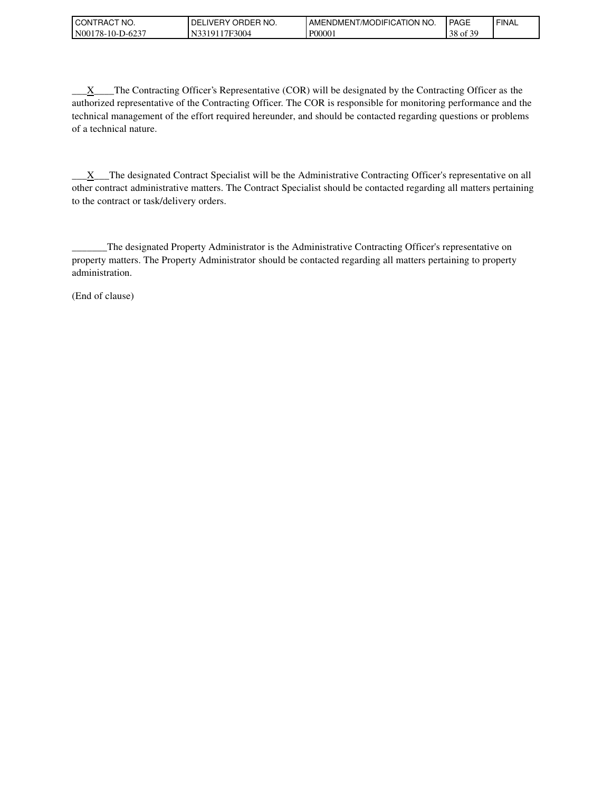| <b>CONTRACT</b><br>`NO.                   | ORDER NO.<br>DEI<br><b>IVERY</b>                    | MODIFICATION<br>' NO.<br>"AMENDMENT | <b>PAGE</b>                      | <b>FINAL</b> |
|-------------------------------------------|-----------------------------------------------------|-------------------------------------|----------------------------------|--------------|
| 5-623-ر<br>N001<br>` <sup>1</sup> 78-10-ւ | $-3004$<br>$17\mathrm{H}_\odot$<br>.19 <sup>7</sup> | P0000                               | $c \wedge c$<br>38<br>of $\beta$ |              |

 $\underline{X}$  The Contracting Officer's Representative (COR) will be designated by the Contracting Officer as the authorized representative of the Contracting Officer. The COR is responsible for monitoring performance and the technical management of the effort required hereunder, and should be contacted regarding questions or problems of a technical nature.

\_\_\_X\_\_\_The designated Contract Specialist will be the Administrative Contracting Officer's representative on all other contract administrative matters. The Contract Specialist should be contacted regarding all matters pertaining to the contract or task/delivery orders.

\_\_\_\_\_\_\_The designated Property Administrator is the Administrative Contracting Officer's representative on property matters. The Property Administrator should be contacted regarding all matters pertaining to property administration.

(End of clause)